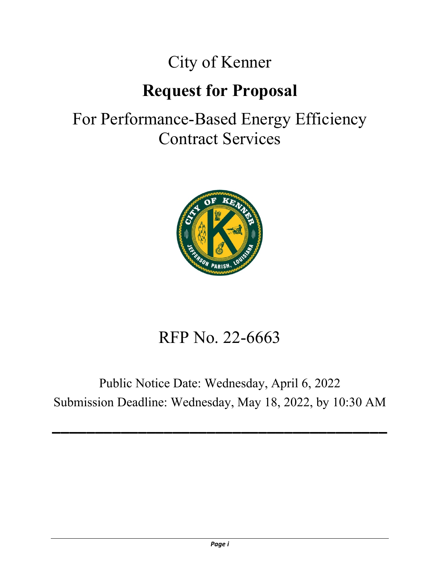# City of Kenner

# **Request for Proposal**

# For Performance-Based Energy Efficiency Contract Services



# RFP No. 22-6663

# Public Notice Date: Wednesday, April 6, 2022 Submission Deadline: Wednesday, May 18, 2022, by 10:30 AM

**\_\_\_\_\_\_\_\_\_\_\_\_\_\_\_\_\_\_\_\_\_\_\_\_\_\_\_\_\_\_\_\_\_\_\_\_\_\_\_**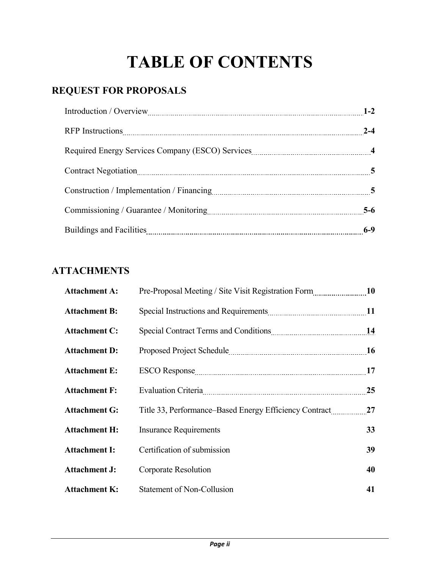# **TABLE OF CONTENTS**

# **REQUEST FOR PROPOSALS**

| Introduction / Overview 2008 March 2008 March 2014 1-2 |         |
|--------------------------------------------------------|---------|
|                                                        | $2 - 4$ |
|                                                        |         |
| Contract Negotiation 5                                 |         |
|                                                        |         |
|                                                        | $5-6$   |
|                                                        | $6-9$   |

# **ATTACHMENTS**

| <b>Attachment A:</b> | Pre-Proposal Meeting / Site Visit Registration Form 10                                                          |    |
|----------------------|-----------------------------------------------------------------------------------------------------------------|----|
| <b>Attachment B:</b> |                                                                                                                 |    |
| <b>Attachment C:</b> |                                                                                                                 |    |
| <b>Attachment D:</b> |                                                                                                                 |    |
| <b>Attachment E:</b> | ESCO Response 17                                                                                                |    |
| <b>Attachment F:</b> | Evaluation Criteria [11] [12] Evaluation Criteria [12] [12] [12] Evaluation Criteria [12] [12] [12] [12] [12] [ | 25 |
| <b>Attachment G:</b> | Title 33, Performance–Based Energy Efficiency Contract                                                          | 27 |
| <b>Attachment H:</b> | <b>Insurance Requirements</b>                                                                                   | 33 |
| <b>Attachment I:</b> | Certification of submission                                                                                     | 39 |
| <b>Attachment J:</b> | Corporate Resolution                                                                                            | 40 |
| <b>Attachment K:</b> | Statement of Non-Collusion                                                                                      | 41 |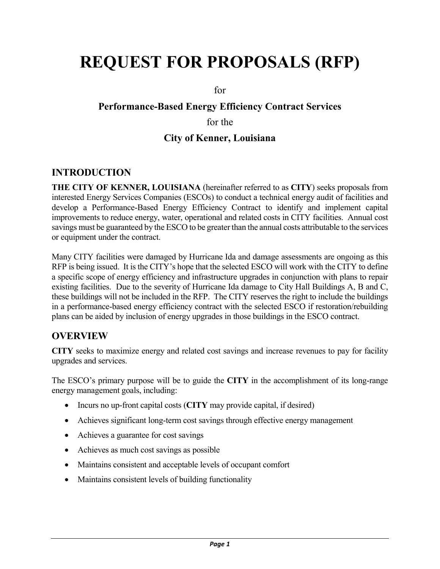# **REQUEST FOR PROPOSALS (RFP)**

for

# **Performance-Based Energy Efficiency Contract Services** for the **City of Kenner, Louisiana**

## **INTRODUCTION**

**THE CITY OF KENNER, LOUISIANA** (hereinafter referred to as **CITY**) seeks proposals from interested Energy Services Companies (ESCOs) to conduct a technical energy audit of facilities and develop a Performance-Based Energy Efficiency Contract to identify and implement capital improvements to reduce energy, water, operational and related costs in CITY facilities. Annual cost savings must be guaranteed by the ESCO to be greater than the annual costs attributable to the services or equipment under the contract.

Many CITY facilities were damaged by Hurricane Ida and damage assessments are ongoing as this RFP is being issued. It is the CITY's hope that the selected ESCO will work with the CITY to define a specific scope of energy efficiency and infrastructure upgrades in conjunction with plans to repair existing facilities. Due to the severity of Hurricane Ida damage to City Hall Buildings A, B and C, these buildings will not be included in the RFP. The CITY reserves the right to include the buildings in a performance-based energy efficiency contract with the selected ESCO if restoration/rebuilding plans can be aided by inclusion of energy upgrades in those buildings in the ESCO contract.

## **OVERVIEW**

**CITY** seeks to maximize energy and related cost savings and increase revenues to pay for facility upgrades and services.

The ESCO's primary purpose will be to guide the **CITY** in the accomplishment of its long-range energy management goals, including:

- Incurs no up-front capital costs (**CITY** may provide capital, if desired)
- Achieves significant long-term cost savings through effective energy management
- Achieves a guarantee for cost savings
- Achieves as much cost savings as possible
- Maintains consistent and acceptable levels of occupant comfort
- Maintains consistent levels of building functionality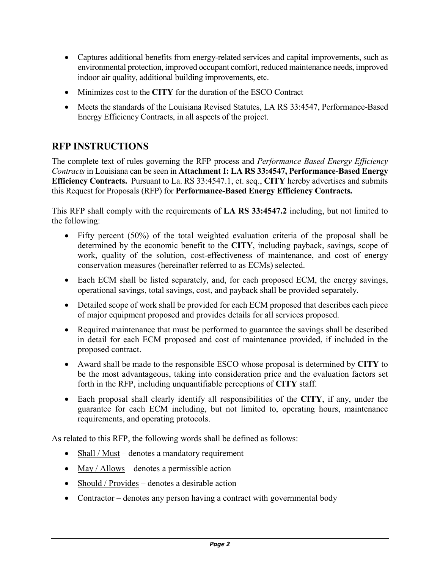- Captures additional benefits from energy-related services and capital improvements, such as environmental protection, improved occupant comfort, reduced maintenance needs, improved indoor air quality, additional building improvements, etc.
- Minimizes cost to the **CITY** for the duration of the ESCO Contract
- Meets the standards of the Louisiana Revised Statutes, LA RS 33:4547, Performance-Based Energy Efficiency Contracts, in all aspects of the project.

# **RFP INSTRUCTIONS**

The complete text of rules governing the RFP process and *Performance Based Energy Efficiency Contracts* in Louisiana can be seen in **Attachment I: LA RS 33:4547, Performance-Based Energy Efficiency Contracts.** Pursuant to La. RS 33:4547.1, et. seq., **CITY** hereby advertises and submits this Request for Proposals (RFP) for **Performance-Based Energy Efficiency Contracts.**

This RFP shall comply with the requirements of **LA RS 33:4547.2** including, but not limited to the following:

- Fifty percent (50%) of the total weighted evaluation criteria of the proposal shall be determined by the economic benefit to the **CITY**, including payback, savings, scope of work, quality of the solution, cost-effectiveness of maintenance, and cost of energy conservation measures (hereinafter referred to as ECMs) selected.
- Each ECM shall be listed separately, and, for each proposed ECM, the energy savings, operational savings, total savings, cost, and payback shall be provided separately.
- Detailed scope of work shall be provided for each ECM proposed that describes each piece of major equipment proposed and provides details for all services proposed.
- Required maintenance that must be performed to guarantee the savings shall be described in detail for each ECM proposed and cost of maintenance provided, if included in the proposed contract.
- Award shall be made to the responsible ESCO whose proposal is determined by **CITY** to be the most advantageous, taking into consideration price and the evaluation factors set forth in the RFP, including unquantifiable perceptions of **CITY** staff.
- Each proposal shall clearly identify all responsibilities of the **CITY**, if any, under the guarantee for each ECM including, but not limited to, operating hours, maintenance requirements, and operating protocols.

As related to this RFP, the following words shall be defined as follows:

- Shall / Must denotes a mandatory requirement
- $\text{May} / \text{Allows}$  denotes a permissible action
- Should / Provides denotes a desirable action
- Contractor denotes any person having a contract with governmental body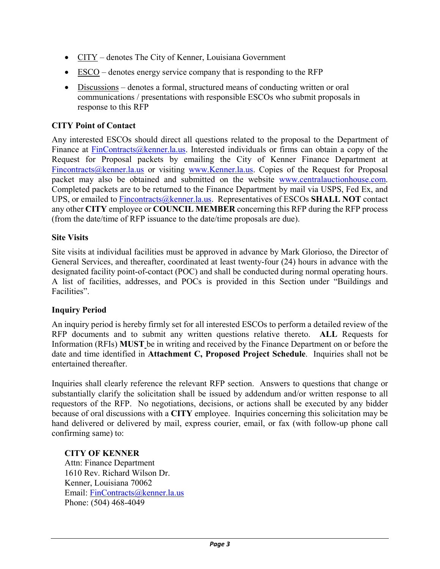- CITY denotes The City of Kenner, Louisiana Government
- ESCO denotes energy service company that is responding to the RFP
- Discussions denotes a formal, structured means of conducting written or oral communications / presentations with responsible ESCOs who submit proposals in response to this RFP

#### **CITY Point of Contact**

Any interested ESCOs should direct all questions related to the proposal to the Department of Finance at [FinContracts@kenner.la.us.](mailto:FinContracts@kenner.la.us) Interested individuals or firms can obtain a copy of the Request for Proposal packets by emailing the City of Kenner Finance Department at [Fincontracts@kenner.la.us](mailto:Fincontracts@kenner.la.us) or visiting [www.Kenner.la.us.](http://www.kenner.la.us/) Copies of the Request for Proposal packet may also be obtained and submitted on the website [www.centralauctionhouse.com.](http://www.centralauctionhouse.com/) Completed packets are to be returned to the Finance Department by mail via USPS, Fed Ex, and UPS, or emailed to [Fincontracts@kenner.la.us.](mailto:Fincontracts@kenner.la.us) Representatives of ESCOs **SHALL NOT** contact any other **CITY** employee or **COUNCIL MEMBER** concerning this RFP during the RFP process (from the date/time of RFP issuance to the date/time proposals are due).

#### **Site Visits**

Site visits at individual facilities must be approved in advance by Mark Glorioso, the Director of General Services, and thereafter, coordinated at least twenty-four (24) hours in advance with the designated facility point-of-contact (POC) and shall be conducted during normal operating hours. A list of facilities, addresses, and POCs is provided in this Section under "Buildings and Facilities".

### **Inquiry Period**

An inquiry period is hereby firmly set for all interested ESCOs to perform a detailed review of the RFP documents and to submit any written questions relative thereto. **ALL** Requests for Information (RFIs) **MUST** be in writing and received by the Finance Department on or before the date and time identified in **Attachment C, Proposed Project Schedule**. Inquiries shall not be entertained thereafter.

Inquiries shall clearly reference the relevant RFP section. Answers to questions that change or substantially clarify the solicitation shall be issued by addendum and/or written response to all requestors of the RFP. No negotiations, decisions, or actions shall be executed by any bidder because of oral discussions with a **CITY** employee. Inquiries concerning this solicitation may be hand delivered or delivered by mail, express courier, email, or fax (with follow-up phone call confirming same) to:

#### **CITY OF KENNER**

Attn: Finance Department 1610 Rev. Richard Wilson Dr. Kenner, Louisiana 70062 Email: [FinContracts@kenner.la.us](mailto:FinContracts@kenner.la.us) Phone: (504) 468-4049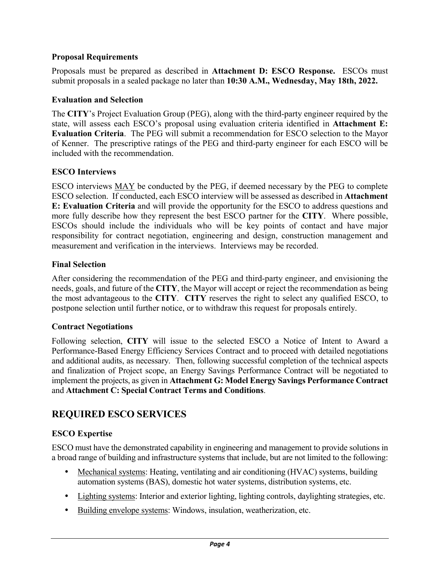#### **Proposal Requirements**

Proposals must be prepared as described in **Attachment D: ESCO Response.** ESCOs must submit proposals in a sealed package no later than **10:30 A.M., Wednesday, May 18th, 2022.**

#### **Evaluation and Selection**

The **CITY**'s Project Evaluation Group (PEG), along with the third-party engineer required by the state, will assess each ESCO's proposal using evaluation criteria identified in **Attachment E: Evaluation Criteria**. The PEG will submit a recommendation for ESCO selection to the Mayor of Kenner. The prescriptive ratings of the PEG and third-party engineer for each ESCO will be included with the recommendation.

### **ESCO Interviews**

ESCO interviews MAY be conducted by the PEG, if deemed necessary by the PEG to complete ESCO selection. If conducted, each ESCO interview will be assessed as described in **Attachment E: Evaluation Criteria** and will provide the opportunity for the ESCO to address questions and more fully describe how they represent the best ESCO partner for the **CITY**. Where possible, ESCOs should include the individuals who will be key points of contact and have major responsibility for contract negotiation, engineering and design, construction management and measurement and verification in the interviews. Interviews may be recorded.

### **Final Selection**

After considering the recommendation of the PEG and third-party engineer, and envisioning the needs, goals, and future of the **CITY**, the Mayor will accept or reject the recommendation as being the most advantageous to the **CITY**. **CITY** reserves the right to select any qualified ESCO, to postpone selection until further notice, or to withdraw this request for proposals entirely.

#### **Contract Negotiations**

Following selection, **CITY** will issue to the selected ESCO a Notice of Intent to Award a Performance-Based Energy Efficiency Services Contract and to proceed with detailed negotiations and additional audits, as necessary. Then, following successful completion of the technical aspects and finalization of Project scope, an Energy Savings Performance Contract will be negotiated to implement the projects, as given in **Attachment G: Model Energy Savings Performance Contract** and **Attachment C: Special Contract Terms and Conditions**.

# **REQUIRED ESCO SERVICES**

### **ESCO Expertise**

ESCO must have the demonstrated capability in engineering and management to provide solutions in a broad range of building and infrastructure systems that include, but are not limited to the following:

- Mechanical systems: Heating, ventilating and air conditioning (HVAC) systems, building automation systems (BAS), domestic hot water systems, distribution systems, etc.
- Lighting systems: Interior and exterior lighting, lighting controls, daylighting strategies, etc.
- Building envelope systems: Windows, insulation, weatherization, etc.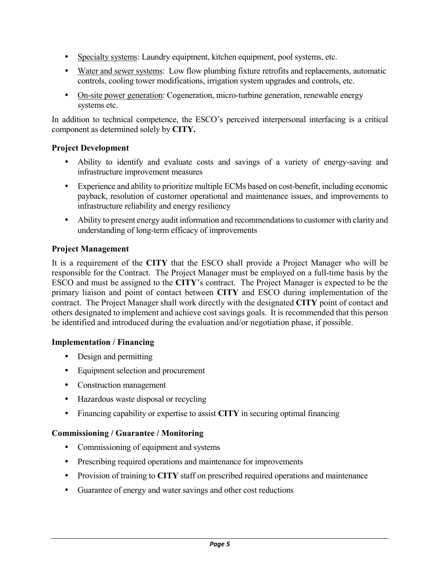- Specialty systems: Laundry equipment, kitchen equipment, pool systems, etc.
- Water and sewer systems: Low flow plumbing fixture retrofits and replacements, automatic controls, cooling tower modifications, irrigation system upgrades and controls, etc.
- On-site power generation: Cogeneration, micro-turbine generation, renewable energy systems etc.

In addition to technical competence, the ESCO's perceived interpersonal interfacing is a critical component as determined solely by **CITY.**

### **Project Development**

- Ability to identify and evaluate costs and savings of a variety of energy-saving and infrastructure improvement measures
- Experience and ability to prioritize multiple ECMs based on cost-benefit, including economic payback, resolution of customer operational and maintenance issues, and improvements to infrastructure reliability and energy resiliency
- Ability to present energy audit information and recommendations to customer with clarity and understanding of long-term efficacy of improvements

### **Project Management**

It is a requirement of the **CITY** that the ESCO shall provide a Project Manager who will be responsible for the Contract. The Project Manager must be employed on a full-time basis by the ESCO and must be assigned to the **CITY**'s contract. The Project Manager is expected to be the primary liaison and point of contact between **CITY** and ESCO during implementation of the contract. The Project Manager shall work directly with the designated **CITY** point of contact and others designated to implement and achieve cost savings goals. It is recommended that this person be identified and introduced during the evaluation and/or negotiation phase, if possible.

#### **Implementation / Financing**

- Design and permitting
- Equipment selection and procurement
- Construction management
- Hazardous waste disposal or recycling
- Financing capability or expertise to assist **CITY** in securing optimal financing

#### **Commissioning / Guarantee / Monitoring**

- Commissioning of equipment and systems
- Prescribing required operations and maintenance for improvements
- Provision of training to **CITY** staff on prescribed required operations and maintenance
- Guarantee of energy and water savings and other cost reductions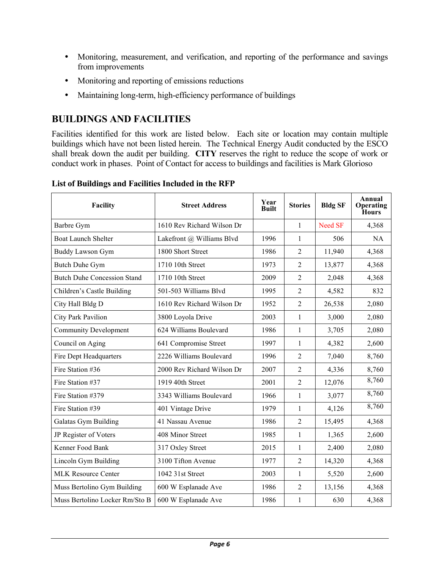- Monitoring, measurement, and verification, and reporting of the performance and savings from improvements
- Monitoring and reporting of emissions reductions
- Maintaining long-term, high-efficiency performance of buildings

## **BUILDINGS AND FACILITIES**

Facilities identified for this work are listed below. Each site or location may contain multiple buildings which have not been listed herein. The Technical Energy Audit conducted by the ESCO shall break down the audit per building. **CITY** reserves the right to reduce the scope of work or conduct work in phases. Point of Contact for access to buildings and facilities is Mark Glorioso

| <b>Facility</b>                    | <b>Street Address</b>      | Year<br><b>Built</b> | <b>Stories</b> | <b>Bldg SF</b> | Annual<br>Operating<br>Hours |
|------------------------------------|----------------------------|----------------------|----------------|----------------|------------------------------|
| Barbre Gym                         | 1610 Rev Richard Wilson Dr |                      | 1              | Need SF        | 4,368                        |
| <b>Boat Launch Shelter</b>         | Lakefront @ Williams Blvd  | 1996                 | 1              | 506            | <b>NA</b>                    |
| <b>Buddy Lawson Gym</b>            | 1800 Short Street          | 1986                 | $\overline{2}$ | 11,940         | 4,368                        |
| <b>Butch Duhe Gym</b>              | 1710 10th Street           | 1973                 | $\overline{2}$ | 13,877         | 4,368                        |
| <b>Butch Duhe Concession Stand</b> | 1710 10th Street           | 2009                 | 2              | 2,048          | 4,368                        |
| Children's Castle Building         | 501-503 Williams Blvd      | 1995                 | $\overline{2}$ | 4,582          | 832                          |
| City Hall Bldg D                   | 1610 Rev Richard Wilson Dr | 1952                 | $\overline{2}$ | 26,538         | 2,080                        |
| City Park Pavilion                 | 3800 Loyola Drive          | 2003                 | 1              | 3,000          | 2,080                        |
| <b>Community Development</b>       | 624 Williams Boulevard     | 1986                 | $\mathbf{1}$   | 3,705          | 2,080                        |
| Council on Aging                   | 641 Compromise Street      | 1997                 | $\mathbf{1}$   | 4,382          | 2,600                        |
| Fire Dept Headquarters             | 2226 Williams Boulevard    | 1996                 | $\overline{2}$ | 7,040          | 8,760                        |
| Fire Station #36                   | 2000 Rev Richard Wilson Dr | 2007                 | $\overline{2}$ | 4,336          | 8,760                        |
| Fire Station #37                   | 1919 40th Street           | 2001                 | 2              | 12,076         | 8,760                        |
| Fire Station #379                  | 3343 Williams Boulevard    | 1966                 | $\mathbf{1}$   | 3,077          | 8,760                        |
| Fire Station #39                   | 401 Vintage Drive          | 1979                 | $\mathbf{1}$   | 4,126          | 8,760                        |
| Galatas Gym Building               | 41 Nassau Avenue           | 1986                 | $\overline{2}$ | 15,495         | 4,368                        |
| JP Register of Voters              | 408 Minor Street           | 1985                 | $\mathbf{1}$   | 1,365          | 2,600                        |
| Kenner Food Bank                   | 317 Oxley Street           | 2015                 | $\mathbf{1}$   | 2,400          | 2,080                        |
| Lincoln Gym Building               | 3100 Tifton Avenue         | 1977                 | $\overline{2}$ | 14,320         | 4,368                        |
| <b>MLK Resource Center</b>         | 1042 31st Street           | 2003                 | $\mathbf{1}$   | 5,520          | 2,600                        |
| Muss Bertolino Gym Building        | 600 W Esplanade Ave        | 1986                 | $\overline{2}$ | 13,156         | 4,368                        |
| Muss Bertolino Locker Rm/Sto B     | 600 W Esplanade Ave        | 1986                 | 1              | 630            | 4,368                        |

#### **List of Buildings and Facilities Included in the RFP**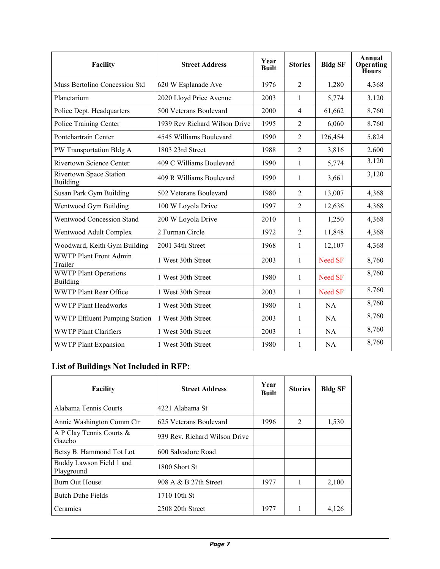| Facility                                   | <b>Street Address</b>         | Year<br><b>Built</b> | <b>Stories</b> | <b>Bldg SF</b> | Annual<br>Operating<br>Hours |
|--------------------------------------------|-------------------------------|----------------------|----------------|----------------|------------------------------|
| Muss Bertolino Concession Std              | 620 W Esplanade Ave           | 1976                 | $\overline{2}$ | 1,280          | 4,368                        |
| Planetarium                                | 2020 Lloyd Price Avenue       | 2003                 | 1              | 5,774          | 3,120                        |
| Police Dept. Headquarters                  | 500 Veterans Boulevard        | 2000                 | $\overline{4}$ | 61,662         | 8,760                        |
| Police Training Center                     | 1939 Rev Richard Wilson Drive | 1995                 | $\overline{2}$ | 6,060          | 8,760                        |
| Pontchartrain Center                       | 4545 Williams Boulevard       | 1990                 | $\overline{2}$ | 126,454        | 5,824                        |
| PW Transportation Bldg A                   | 1803 23rd Street              | 1988                 | $\overline{2}$ | 3,816          | 2,600                        |
| Rivertown Science Center                   | 409 C Williams Boulevard      | 1990                 | $\mathbf{1}$   | 5,774          | 3,120                        |
| Rivertown Space Station<br><b>Building</b> | 409 R Williams Boulevard      | 1990                 | 1              | 3,661          | 3,120                        |
| Susan Park Gym Building                    | 502 Veterans Boulevard        | 1980                 | $\overline{2}$ | 13,007         | 4,368                        |
| Wentwood Gym Building                      | 100 W Loyola Drive            | 1997                 | $\overline{2}$ | 12,636         | 4,368                        |
| Wentwood Concession Stand                  | 200 W Loyola Drive            | 2010                 | $\mathbf{1}$   | 1,250          | 4,368                        |
| Wentwood Adult Complex                     | 2 Furman Circle               | 1972                 | $\overline{2}$ | 11,848         | 4,368                        |
| Woodward, Keith Gym Building               | 2001 34th Street              | 1968                 | $\mathbf{1}$   | 12,107         | 4,368                        |
| <b>WWTP Plant Front Admin</b><br>Trailer   | 1 West 30th Street            | 2003                 | $\mathbf{1}$   | Need SF        | 8,760                        |
| <b>WWTP Plant Operations</b><br>Building   | 1 West 30th Street            | 1980                 | $\mathbf{1}$   | Need SF        | 8,760                        |
| <b>WWTP Plant Rear Office</b>              | 1 West 30th Street            | 2003                 | $\mathbf{1}$   | Need SF        | 8,760                        |
| <b>WWTP Plant Headworks</b>                | 1 West 30th Street            | 1980                 | $\mathbf{1}$   | <b>NA</b>      | 8,760                        |
| WWTP Effluent Pumping Station              | 1 West 30th Street            | 2003                 | $\mathbf{1}$   | <b>NA</b>      | 8,760                        |
| <b>WWTP Plant Clarifiers</b>               | 1 West 30th Street            | 2003                 | $\mathbf{1}$   | <b>NA</b>      | 8,760                        |
| <b>WWTP Plant Expansion</b>                | 1 West 30th Street            | 1980                 | $\mathbf{1}$   | NA             | 8,760                        |

## **List of Buildings Not Included in RFP:**

| Facility                               | <b>Street Address</b>         | Year<br><b>Built</b> | <b>Stories</b>                | <b>Bldg SF</b> |
|----------------------------------------|-------------------------------|----------------------|-------------------------------|----------------|
| Alabama Tennis Courts                  | 4221 Alabama St               |                      |                               |                |
| Annie Washington Comm Ctr              | 625 Veterans Boulevard        | 1996                 | $\mathfrak{D}_{\mathfrak{p}}$ | 1,530          |
| A P Clay Tennis Courts &<br>Gazebo     | 939 Rev. Richard Wilson Drive |                      |                               |                |
| Betsy B. Hammond Tot Lot               | 600 Salvadore Road            |                      |                               |                |
| Buddy Lawson Field 1 and<br>Playground | 1800 Short St                 |                      |                               |                |
| Burn Out House                         | 908 A & B 27th Street         | 1977                 |                               | 2,100          |
| <b>Butch Duhe Fields</b>               | 1710 10th St                  |                      |                               |                |
| Ceramics                               | 2508 20th Street              | 1977                 |                               | 4,126          |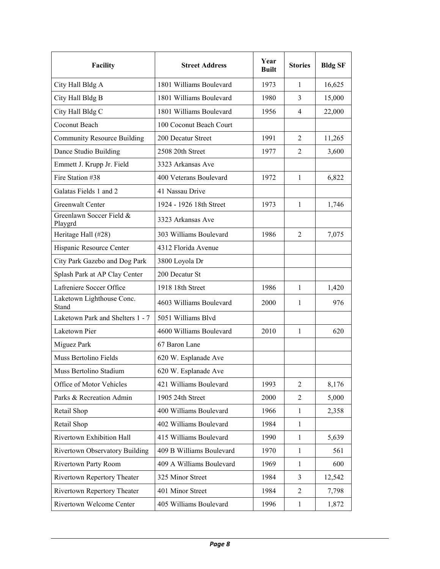| <b>Facility</b>                     | <b>Street Address</b>    | Year<br><b>Built</b> | <b>Stories</b> | <b>Bldg SF</b> |
|-------------------------------------|--------------------------|----------------------|----------------|----------------|
| City Hall Bldg A                    | 1801 Williams Boulevard  | 1973                 | $\mathbf{1}$   | 16,625         |
| City Hall Bldg B                    | 1801 Williams Boulevard  | 1980                 | 3              | 15,000         |
| City Hall Bldg C                    | 1801 Williams Boulevard  | 1956                 | $\overline{4}$ | 22,000         |
| Coconut Beach                       | 100 Coconut Beach Court  |                      |                |                |
| <b>Community Resource Building</b>  | 200 Decatur Street       | 1991                 | 2              | 11,265         |
| Dance Studio Building               | 2508 20th Street         | 1977                 | 2              | 3,600          |
| Emmett J. Krupp Jr. Field           | 3323 Arkansas Ave        |                      |                |                |
| Fire Station #38                    | 400 Veterans Boulevard   | 1972                 | $\mathbf{1}$   | 6,822          |
| Galatas Fields 1 and 2              | 41 Nassau Drive          |                      |                |                |
| Greenwalt Center                    | 1924 - 1926 18th Street  | 1973                 | $\mathbf{1}$   | 1,746          |
| Greenlawn Soccer Field &<br>Playgrd | 3323 Arkansas Ave        |                      |                |                |
| Heritage Hall (#28)                 | 303 Williams Boulevard   | 1986                 | 2              | 7,075          |
| Hispanic Resource Center            | 4312 Florida Avenue      |                      |                |                |
| City Park Gazebo and Dog Park       | 3800 Loyola Dr           |                      |                |                |
| Splash Park at AP Clay Center       | 200 Decatur St           |                      |                |                |
| Lafreniere Soccer Office            | 1918 18th Street         | 1986                 | 1              | 1,420          |
| Laketown Lighthouse Conc.<br>Stand  | 4603 Williams Boulevard  | 2000                 | 1              | 976            |
| Laketown Park and Shelters 1 - 7    | 5051 Williams Blvd       |                      |                |                |
| Laketown Pier                       | 4600 Williams Boulevard  | 2010                 | $\mathbf{1}$   | 620            |
| Miguez Park                         | 67 Baron Lane            |                      |                |                |
| Muss Bertolino Fields               | 620 W. Esplanade Ave     |                      |                |                |
| Muss Bertolino Stadium              | 620 W. Esplanade Ave     |                      |                |                |
| Office of Motor Vehicles            | 421 Williams Boulevard   | 1993                 | 2              | 8,176          |
| Parks & Recreation Admin            | 1905 24th Street         | 2000                 | 2              | 5,000          |
| Retail Shop                         | 400 Williams Boulevard   | 1966                 | $\mathbf{1}$   | 2,358          |
| Retail Shop                         | 402 Williams Boulevard   | 1984                 | $\mathbf{1}$   |                |
| Rivertown Exhibition Hall           | 415 Williams Boulevard   | 1990                 | $\mathbf{1}$   | 5,639          |
| Rivertown Observatory Building      | 409 B Williams Boulevard | 1970                 | $\mathbf{1}$   | 561            |
| Rivertown Party Room                | 409 A Williams Boulevard | 1969                 | $\mathbf{1}$   | 600            |
| Rivertown Repertory Theater         | 325 Minor Street         | 1984                 | 3              | 12,542         |
| Rivertown Repertory Theater         | 401 Minor Street         | 1984                 | 2              | 7,798          |
| Rivertown Welcome Center            | 405 Williams Boulevard   | 1996                 | $\mathbf{1}$   | 1,872          |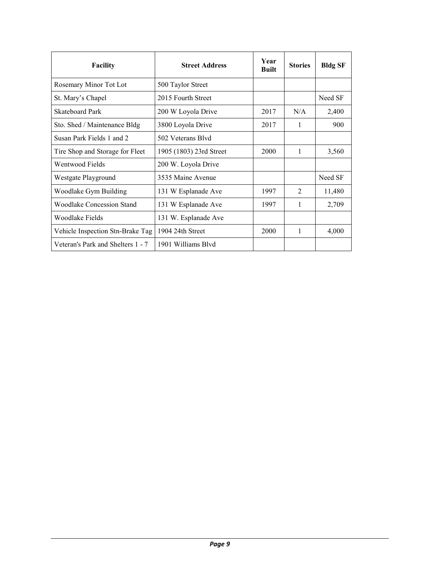| <b>Facility</b>                   | <b>Street Address</b>   | Year<br><b>Built</b> | <b>Stories</b> | <b>Bldg SF</b> |
|-----------------------------------|-------------------------|----------------------|----------------|----------------|
| Rosemary Minor Tot Lot            | 500 Taylor Street       |                      |                |                |
| St. Mary's Chapel                 | 2015 Fourth Street      |                      |                | Need SF        |
| <b>Skateboard Park</b>            | 200 W Loyola Drive      | 2017                 | N/A            | 2,400          |
| Sto. Shed / Maintenance Bldg      | 3800 Loyola Drive       | 2017                 | 1              | 900            |
| Susan Park Fields 1 and 2         | 502 Veterans Blvd       |                      |                |                |
| Tire Shop and Storage for Fleet   | 1905 (1803) 23rd Street | 2000                 | 1              | 3,560          |
| Wentwood Fields                   | 200 W. Loyola Drive     |                      |                |                |
| Westgate Playground               | 3535 Maine Avenue       |                      |                | Need SF        |
| Woodlake Gym Building             | 131 W Esplanade Ave     | 1997                 | $\mathfrak{D}$ | 11,480         |
| Woodlake Concession Stand         | 131 W Esplanade Ave     | 1997                 | 1              | 2,709          |
| Woodlake Fields                   | 131 W. Esplanade Ave    |                      |                |                |
| Vehicle Inspection Stn-Brake Tag  | 1904 24th Street        | 2000                 | 1              | 4,000          |
| Veteran's Park and Shelters 1 - 7 | 1901 Williams Blyd      |                      |                |                |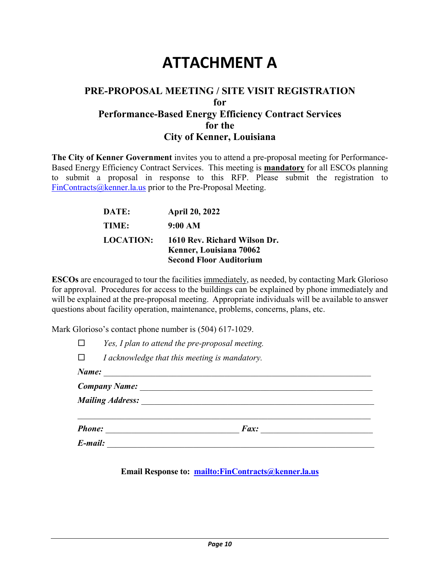# **ATTACHMENT A**

## **PRE-PROPOSAL MEETING / SITE VISIT REGISTRATION for Performance-Based Energy Efficiency Contract Services for the City of Kenner, Louisiana**

**The City of Kenner Government** invites you to attend a pre-proposal meeting for Performance-Based Energy Efficiency Contract Services. This meeting is **mandatory** for all ESCOs planning to submit a proposal in response to this RFP. Please submit the registration to [FinContracts@kenner.la.us](mailto:FinContracts@kenner.la.us) prior to the Pre-Proposal Meeting.

| DATE:            | <b>April 20, 2022</b>          |
|------------------|--------------------------------|
| TIME:            | 9:00 AM                        |
| <b>LOCATION:</b> | 1610 Rev. Richard Wilson Dr.   |
|                  | Kenner, Louisiana 70062        |
|                  | <b>Second Floor Auditorium</b> |

**ESCOs** are encouraged to tour the facilities immediately, as needed, by contacting Mark Glorioso for approval. Procedures for access to the buildings can be explained by phone immediately and will be explained at the pre-proposal meeting. Appropriate individuals will be available to answer questions about facility operation, maintenance, problems, concerns, plans, etc.

Mark Glorioso's contact phone number is  $(504)$  617-1029.

|               | Yes, I plan to attend the pre-proposal meeting. |  |  |  |  |  |  |
|---------------|-------------------------------------------------|--|--|--|--|--|--|
|               | I acknowledge that this meeting is mandatory.   |  |  |  |  |  |  |
| Name:         |                                                 |  |  |  |  |  |  |
|               | <b>Company Name:</b>                            |  |  |  |  |  |  |
|               | <b>Mailing Address:</b>                         |  |  |  |  |  |  |
|               |                                                 |  |  |  |  |  |  |
| <b>Phone:</b> | Fax:                                            |  |  |  |  |  |  |
| E-mail:       |                                                 |  |  |  |  |  |  |

**Email Response to: <mailto:FinContracts@kenner.la.us>**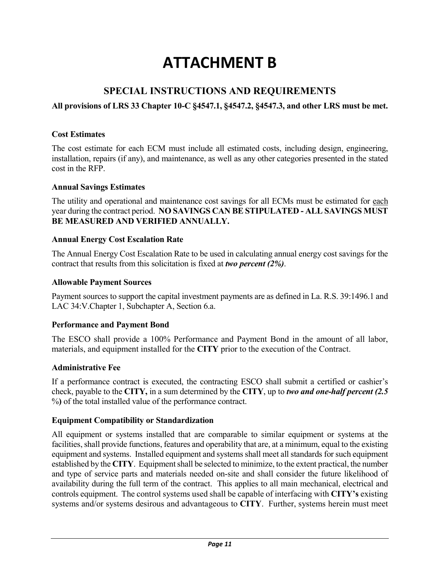# **ATTACHMENT B**

## **SPECIAL INSTRUCTIONS AND REQUIREMENTS**

#### **All provisions of LRS 33 Chapter 10-C §4547.1, §4547.2, §4547.3, and other LRS must be met.**

#### **Cost Estimates**

The cost estimate for each ECM must include all estimated costs, including design, engineering, installation, repairs (if any), and maintenance, as well as any other categories presented in the stated cost in the RFP.

#### **Annual Savings Estimates**

The utility and operational and maintenance cost savings for all ECMs must be estimated for each year during the contract period. **NO SAVINGS CAN BE STIPULATED - ALL SAVINGS MUST BE MEASURED AND VERIFIED ANNUALLY.**

#### **Annual Energy Cost Escalation Rate**

The Annual Energy Cost Escalation Rate to be used in calculating annual energy cost savings for the contract that results from this solicitation is fixed at *two percent (2%)*.

#### **Allowable Payment Sources**

Payment sources to support the capital investment payments are as defined in La. R.S. 39:1496.1 and LAC 34:V.Chapter 1, Subchapter A, Section 6.a.

#### **Performance and Payment Bond**

The ESCO shall provide a 100% Performance and Payment Bond in the amount of all labor, materials, and equipment installed for the **CITY** prior to the execution of the Contract.

#### **Administrative Fee**

If a performance contract is executed, the contracting ESCO shall submit a certified or cashier's check, payable to the **CITY,** in a sum determined by the **CITY**, up to *two and one-half percent (2.5*  %**)** of the total installed value of the performance contract.

#### **Equipment Compatibility or Standardization**

All equipment or systems installed that are comparable to similar equipment or systems at the facilities, shall provide functions, features and operability that are, at a minimum, equal to the existing equipment and systems. Installed equipment and systems shall meet all standards for such equipment established by the **CITY**. Equipment shall be selected to minimize, to the extent practical, the number and type of service parts and materials needed on-site and shall consider the future likelihood of availability during the full term of the contract. This applies to all main mechanical, electrical and controls equipment. The control systems used shall be capable of interfacing with **CITY's** existing systems and/or systems desirous and advantageous to **CITY**. Further, systems herein must meet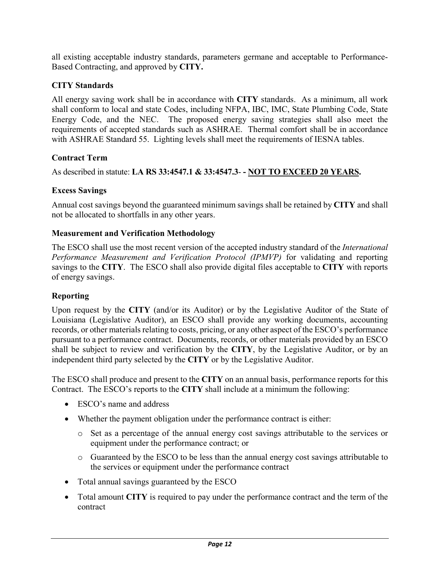all existing acceptable industry standards, parameters germane and acceptable to Performance-Based Contracting, and approved by **CITY.**

## **CITY Standards**

All energy saving work shall be in accordance with **CITY** standards. As a minimum, all work shall conform to local and state Codes, including NFPA, IBC, IMC, State Plumbing Code, State Energy Code, and the NEC. The proposed energy saving strategies shall also meet the requirements of accepted standards such as ASHRAE. Thermal comfort shall be in accordance with ASHRAE Standard 55. Lighting levels shall meet the requirements of IESNA tables.

### **Contract Term**

As described in statute: **LA RS 33:4547.1 & 33:4547.3**- **- NOT TO EXCEED 20 YEARS.**

### **Excess Savings**

Annual cost savings beyond the guaranteed minimum savings shall be retained by **CITY** and shall not be allocated to shortfalls in any other years.

### **Measurement and Verification Methodology**

The ESCO shall use the most recent version of the accepted industry standard of the *International Performance Measurement and Verification Protocol (IPMVP)* for validating and reporting savings to the **CITY**. The ESCO shall also provide digital files acceptable to **CITY** with reports of energy savings.

#### **Reporting**

Upon request by the **CITY** (and/or its Auditor) or by the Legislative Auditor of the State of Louisiana (Legislative Auditor), an ESCO shall provide any working documents, accounting records, or other materials relating to costs, pricing, or any other aspect of the ESCO's performance pursuant to a performance contract. Documents, records, or other materials provided by an ESCO shall be subject to review and verification by the **CITY**, by the Legislative Auditor, or by an independent third party selected by the **CITY** or by the Legislative Auditor.

The ESCO shall produce and present to the **CITY** on an annual basis, performance reports for this Contract. The ESCO's reports to the **CITY** shall include at a minimum the following:

- ESCO's name and address
- Whether the payment obligation under the performance contract is either:
	- o Set as a percentage of the annual energy cost savings attributable to the services or equipment under the performance contract; or
	- o Guaranteed by the ESCO to be less than the annual energy cost savings attributable to the services or equipment under the performance contract
- Total annual savings guaranteed by the ESCO
- Total amount **CITY** is required to pay under the performance contract and the term of the contract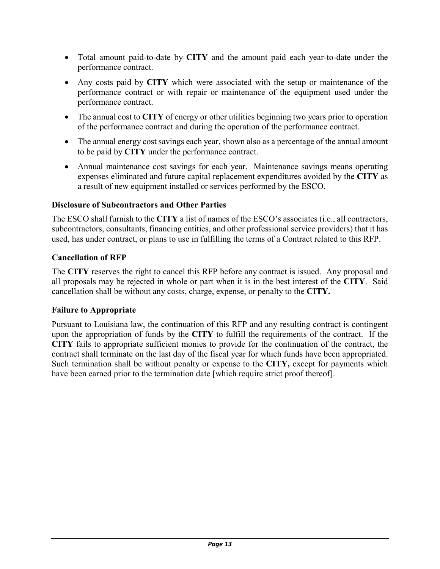- Total amount paid-to-date by **CITY** and the amount paid each year-to-date under the performance contract.
- Any costs paid by **CITY** which were associated with the setup or maintenance of the performance contract or with repair or maintenance of the equipment used under the performance contract.
- The annual cost to **CITY** of energy or other utilities beginning two years prior to operation of the performance contract and during the operation of the performance contract.
- The annual energy cost savings each year, shown also as a percentage of the annual amount to be paid by **CITY** under the performance contract.
- Annual maintenance cost savings for each year. Maintenance savings means operating expenses eliminated and future capital replacement expenditures avoided by the **CITY** as a result of new equipment installed or services performed by the ESCO.

#### **Disclosure of Subcontractors and Other Parties**

The ESCO shall furnish to the **CITY** a list of names of the ESCO's associates (i.e., all contractors, subcontractors, consultants, financing entities, and other professional service providers) that it has used, has under contract, or plans to use in fulfilling the terms of a Contract related to this RFP.

### **Cancellation of RFP**

The **CITY** reserves the right to cancel this RFP before any contract is issued. Any proposal and all proposals may be rejected in whole or part when it is in the best interest of the **CITY**. Said cancellation shall be without any costs, charge, expense, or penalty to the **CITY.**

#### **Failure to Appropriate**

Pursuant to Louisiana law, the continuation of this RFP and any resulting contract is contingent upon the appropriation of funds by the **CITY** to fulfill the requirements of the contract. If the **CITY** fails to appropriate sufficient monies to provide for the continuation of the contract, the contract shall terminate on the last day of the fiscal year for which funds have been appropriated. Such termination shall be without penalty or expense to the **CITY,** except for payments which have been earned prior to the termination date [which require strict proof thereof].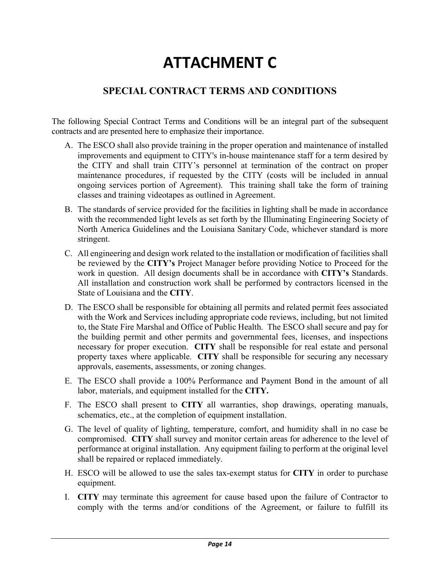# **ATTACHMENT C**

## **SPECIAL CONTRACT TERMS AND CONDITIONS**

The following Special Contract Terms and Conditions will be an integral part of the subsequent contracts and are presented here to emphasize their importance.

- A. The ESCO shall also provide training in the proper operation and maintenance of installed improvements and equipment to CITY's in-house maintenance staff for a term desired by the CITY and shall train CITY's personnel at termination of the contract on proper maintenance procedures, if requested by the CITY (costs will be included in annual ongoing services portion of Agreement). This training shall take the form of training classes and training videotapes as outlined in Agreement.
- B. The standards of service provided for the facilities in lighting shall be made in accordance with the recommended light levels as set forth by the Illuminating Engineering Society of North America Guidelines and the Louisiana Sanitary Code, whichever standard is more stringent.
- C. All engineering and design work related to the installation or modification of facilities shall be reviewed by the **CITY's** Project Manager before providing Notice to Proceed for the work in question. All design documents shall be in accordance with **CITY's** Standards. All installation and construction work shall be performed by contractors licensed in the State of Louisiana and the **CITY**.
- D. The ESCO shall be responsible for obtaining all permits and related permit fees associated with the Work and Services including appropriate code reviews, including, but not limited to, the State Fire Marshal and Office of Public Health. The ESCO shall secure and pay for the building permit and other permits and governmental fees, licenses, and inspections necessary for proper execution. **CITY** shall be responsible for real estate and personal property taxes where applicable. **CITY** shall be responsible for securing any necessary approvals, easements, assessments, or zoning changes.
- E. The ESCO shall provide a 100% Performance and Payment Bond in the amount of all labor, materials, and equipment installed for the **CITY.**
- F. The ESCO shall present to **CITY** all warranties, shop drawings, operating manuals, schematics, etc., at the completion of equipment installation.
- G. The level of quality of lighting, temperature, comfort, and humidity shall in no case be compromised. **CITY** shall survey and monitor certain areas for adherence to the level of performance at original installation. Any equipment failing to perform at the original level shall be repaired or replaced immediately.
- H. ESCO will be allowed to use the sales tax-exempt status for **CITY** in order to purchase equipment.
- I. **CITY** may terminate this agreement for cause based upon the failure of Contractor to comply with the terms and/or conditions of the Agreement, or failure to fulfill its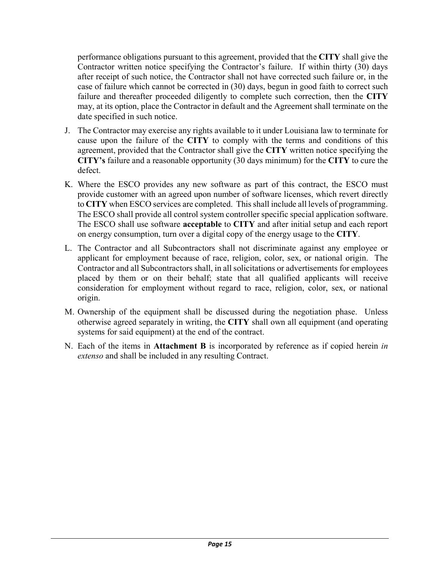performance obligations pursuant to this agreement, provided that the **CITY** shall give the Contractor written notice specifying the Contractor's failure. If within thirty (30) days after receipt of such notice, the Contractor shall not have corrected such failure or, in the case of failure which cannot be corrected in (30) days, begun in good faith to correct such failure and thereafter proceeded diligently to complete such correction, then the **CITY** may, at its option, place the Contractor in default and the Agreement shall terminate on the date specified in such notice.

- J. The Contractor may exercise any rights available to it under Louisiana law to terminate for cause upon the failure of the **CITY** to comply with the terms and conditions of this agreement, provided that the Contractor shall give the **CITY** written notice specifying the **CITY's** failure and a reasonable opportunity (30 days minimum) for the **CITY** to cure the defect.
- K. Where the ESCO provides any new software as part of this contract, the ESCO must provide customer with an agreed upon number of software licenses, which revert directly to **CITY** when ESCO services are completed. This shall include all levels of programming. The ESCO shall provide all control system controller specific special application software. The ESCO shall use software **acceptable** to **CITY** and after initial setup and each report on energy consumption, turn over a digital copy of the energy usage to the **CITY**.
- L. The Contractor and all Subcontractors shall not discriminate against any employee or applicant for employment because of race, religion, color, sex, or national origin. The Contractor and all Subcontractors shall, in all solicitations or advertisements for employees placed by them or on their behalf; state that all qualified applicants will receive consideration for employment without regard to race, religion, color, sex, or national origin.
- M. Ownership of the equipment shall be discussed during the negotiation phase. Unless otherwise agreed separately in writing, the **CITY** shall own all equipment (and operating systems for said equipment) at the end of the contract.
- N. Each of the items in **Attachment B** is incorporated by reference as if copied herein *in extenso* and shall be included in any resulting Contract.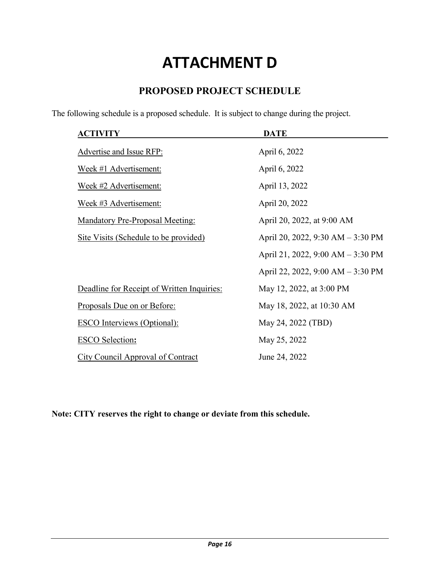# **ATTACHMENT D**

## **PROPOSED PROJECT SCHEDULE**

The following schedule is a proposed schedule. It is subject to change during the project.

| <b>ACTIVITY</b>                            | <b>DATE</b>                       |
|--------------------------------------------|-----------------------------------|
| Advertise and Issue RFP:                   | April 6, 2022                     |
| Week #1 Advertisement:                     | April 6, 2022                     |
| Week #2 Advertisement:                     | April 13, 2022                    |
| Week #3 Advertisement:                     | April 20, 2022                    |
| <b>Mandatory Pre-Proposal Meeting:</b>     | April 20, 2022, at 9:00 AM        |
| Site Visits (Schedule to be provided)      | April 20, 2022, 9:30 AM - 3:30 PM |
|                                            | April 21, 2022, 9:00 AM - 3:30 PM |
|                                            | April 22, 2022, 9:00 AM – 3:30 PM |
| Deadline for Receipt of Written Inquiries: | May 12, 2022, at 3:00 PM          |
| <u>Proposals Due on or Before:</u>         | May 18, 2022, at 10:30 AM         |
| <b>ESCO</b> Interviews (Optional):         | May 24, 2022 (TBD)                |
| <b>ESCO</b> Selection:                     | May 25, 2022                      |
| <b>City Council Approval of Contract</b>   | June 24, 2022                     |

**Note: CITY reserves the right to change or deviate from this schedule.**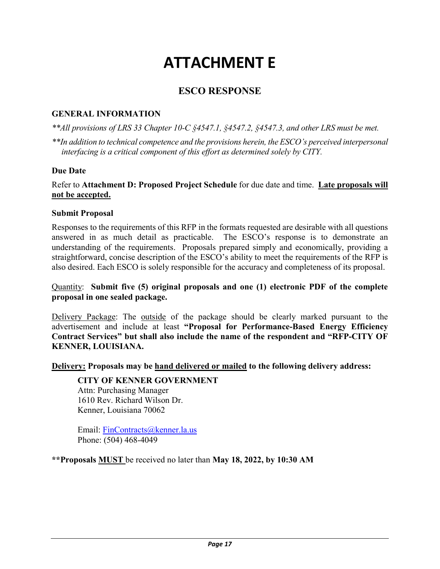# **ATTACHMENT E**

## **ESCO RESPONSE**

#### **GENERAL INFORMATION**

*\*\*All provisions of LRS 33 Chapter 10-C §4547.1, §4547.2, §4547.3, and other LRS must be met.*

*\*\*In addition to technical competence and the provisions herein, the ESCO's perceived interpersonal interfacing is a critical component of this effort as determined solely by CITY.*

#### **Due Date**

Refer to **Attachment D: Proposed Project Schedule** for due date and time. **Late proposals will not be accepted.**

#### **Submit Proposal**

Responses to the requirements of this RFP in the formats requested are desirable with all questions answered in as much detail as practicable. The ESCO's response is to demonstrate an understanding of the requirements. Proposals prepared simply and economically, providing a straightforward, concise description of the ESCO's ability to meet the requirements of the RFP is also desired. Each ESCO is solely responsible for the accuracy and completeness of its proposal.

#### Quantity: **Submit five (5) original proposals and one (1) electronic PDF of the complete proposal in one sealed package.**

Delivery Package: The outside of the package should be clearly marked pursuant to the advertisement and include at least **"Proposal for Performance-Based Energy Efficiency Contract Services" but shall also include the name of the respondent and "RFP-CITY OF KENNER, LOUISIANA.**

**Delivery: Proposals may be hand delivered or mailed to the following delivery address:**

#### **CITY OF KENNER GOVERNMENT**

Attn: Purchasing Manager 1610 Rev. Richard Wilson Dr. Kenner, Louisiana 70062

Email: [FinContracts@kenner.la.us](mailto:FinContracts@kenner.la.us) Phone: (504) 468-4049

**\*\*Proposals MUST** be received no later than **May 18, 2022, by 10:30 AM**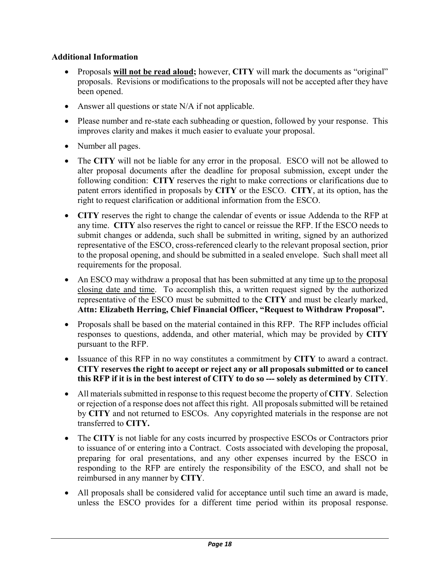### **Additional Information**

- Proposals **will not be read aloud;** however, **CITY** will mark the documents as "original" proposals. Revisions or modifications to the proposals will not be accepted after they have been opened.
- Answer all questions or state N/A if not applicable.
- Please number and re-state each subheading or question, followed by your response. This improves clarity and makes it much easier to evaluate your proposal.
- Number all pages.
- The **CITY** will not be liable for any error in the proposal. ESCO will not be allowed to alter proposal documents after the deadline for proposal submission, except under the following condition: **CITY** reserves the right to make corrections or clarifications due to patent errors identified in proposals by **CITY** or the ESCO. **CITY**, at its option, has the right to request clarification or additional information from the ESCO.
- **CITY** reserves the right to change the calendar of events or issue Addenda to the RFP at any time. **CITY** also reserves the right to cancel or reissue the RFP. If the ESCO needs to submit changes or addenda, such shall be submitted in writing, signed by an authorized representative of the ESCO, cross-referenced clearly to the relevant proposal section, prior to the proposal opening, and should be submitted in a sealed envelope. Such shall meet all requirements for the proposal.
- An ESCO may withdraw a proposal that has been submitted at any time up to the proposal closing date and time. To accomplish this, a written request signed by the authorized representative of the ESCO must be submitted to the **CITY** and must be clearly marked, **Attn: Elizabeth Herring, Chief Financial Officer, "Request to Withdraw Proposal".**
- Proposals shall be based on the material contained in this RFP. The RFP includes official responses to questions, addenda, and other material, which may be provided by **CITY**  pursuant to the RFP.
- Issuance of this RFP in no way constitutes a commitment by **CITY** to award a contract. **CITY reserves the right to accept or reject any or all proposals submitted or to cancel this RFP if it is in the best interest of CITY to do so --- solely as determined by CITY**.
- All materials submitted in response to this request become the property of **CITY**. Selection or rejection of a response does not affect this right. All proposals submitted will be retained by **CITY** and not returned to ESCOs. Any copyrighted materials in the response are not transferred to **CITY.**
- The **CITY** is not liable for any costs incurred by prospective ESCOs or Contractors prior to issuance of or entering into a Contract. Costs associated with developing the proposal, preparing for oral presentations, and any other expenses incurred by the ESCO in responding to the RFP are entirely the responsibility of the ESCO, and shall not be reimbursed in any manner by **CITY**.
- All proposals shall be considered valid for acceptance until such time an award is made, unless the ESCO provides for a different time period within its proposal response.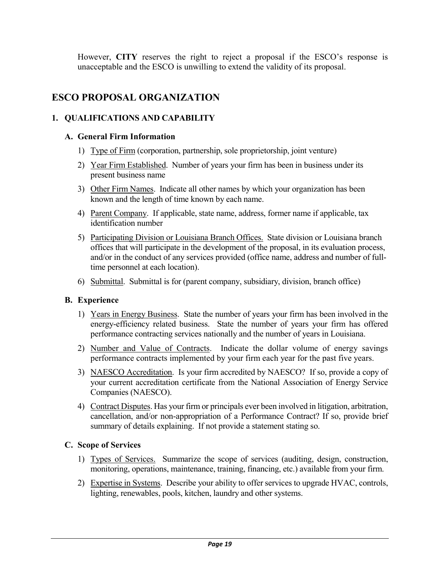However, **CITY** reserves the right to reject a proposal if the ESCO's response is unacceptable and the ESCO is unwilling to extend the validity of its proposal.

## **ESCO PROPOSAL ORGANIZATION**

#### **1. QUALIFICATIONS AND CAPABILITY**

#### **A. General Firm Information**

- 1) Type of Firm (corporation, partnership, sole proprietorship, joint venture)
- 2) Year Firm Established. Number of years your firm has been in business under its present business name
- 3) Other Firm Names. Indicate all other names by which your organization has been known and the length of time known by each name.
- 4) Parent Company. If applicable, state name, address, former name if applicable, tax identification number
- 5) Participating Division or Louisiana Branch Offices. State division or Louisiana branch offices that will participate in the development of the proposal, in its evaluation process, and/or in the conduct of any services provided (office name, address and number of fulltime personnel at each location).
- 6) Submittal. Submittal is for (parent company, subsidiary, division, branch office)

#### **B. Experience**

- 1) Years in Energy Business. State the number of years your firm has been involved in the energy-efficiency related business. State the number of years your firm has offered performance contracting services nationally and the number of years in Louisiana.
- 2) Number and Value of Contracts. Indicate the dollar volume of energy savings performance contracts implemented by your firm each year for the past five years.
- 3) NAESCO Accreditation. Is your firm accredited by NAESCO? If so, provide a copy of your current accreditation certificate from the National Association of Energy Service Companies (NAESCO).
- 4) Contract Disputes. Has your firm or principals ever been involved in litigation, arbitration, cancellation, and/or non-appropriation of a Performance Contract? If so, provide brief summary of details explaining. If not provide a statement stating so.

#### **C. Scope of Services**

- 1) Types of Services. Summarize the scope of services (auditing, design, construction, monitoring, operations, maintenance, training, financing, etc.) available from your firm.
- 2) Expertise in Systems. Describe your ability to offer services to upgrade HVAC, controls, lighting, renewables, pools, kitchen, laundry and other systems.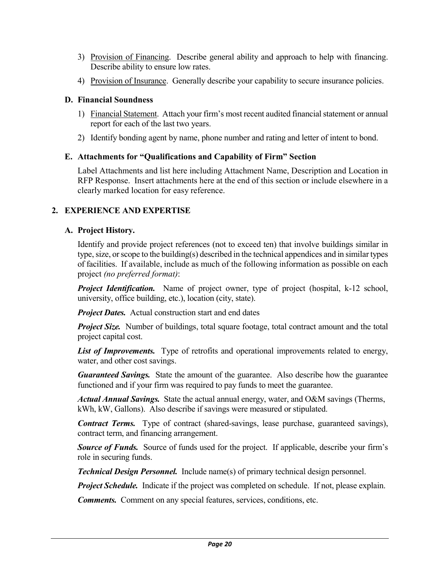- 3) Provision of Financing. Describe general ability and approach to help with financing. Describe ability to ensure low rates.
- 4) Provision of Insurance. Generally describe your capability to secure insurance policies.

#### **D. Financial Soundness**

- 1) Financial Statement. Attach your firm's most recent audited financial statement or annual report for each of the last two years.
- 2) Identify bonding agent by name, phone number and rating and letter of intent to bond.

### **E. Attachments for "Qualifications and Capability of Firm" Section**

Label Attachments and list here including Attachment Name, Description and Location in RFP Response. Insert attachments here at the end of this section or include elsewhere in a clearly marked location for easy reference.

### **2. EXPERIENCE AND EXPERTISE**

### **A. Project History.**

Identify and provide project references (not to exceed ten) that involve buildings similar in type, size, or scope to the building(s) described in the technical appendices and in similar types of facilities. If available, include as much of the following information as possible on each project *(no preferred format)*:

*Project Identification.* Name of project owner, type of project (hospital, k-12 school, university, office building, etc.), location (city, state).

*Project Dates.* Actual construction start and end dates

*Project Size.* Number of buildings, total square footage, total contract amount and the total project capital cost.

List of Improvements. Type of retrofits and operational improvements related to energy, water, and other cost savings.

*Guaranteed Savings.* State the amount of the guarantee. Also describe how the guarantee functioned and if your firm was required to pay funds to meet the guarantee.

*Actual Annual Savings.* State the actual annual energy, water, and O&M savings (Therms, kWh, kW, Gallons). Also describe if savings were measured or stipulated.

*Contract Terms.* Type of contract (shared-savings, lease purchase, guaranteed savings), contract term, and financing arrangement.

**Source of Funds.** Source of funds used for the project. If applicable, describe your firm's role in securing funds.

*Technical Design Personnel.* Include name(s) of primary technical design personnel.

*Project Schedule.* Indicate if the project was completed on schedule. If not, please explain.

*Comments.* Comment on any special features, services, conditions, etc.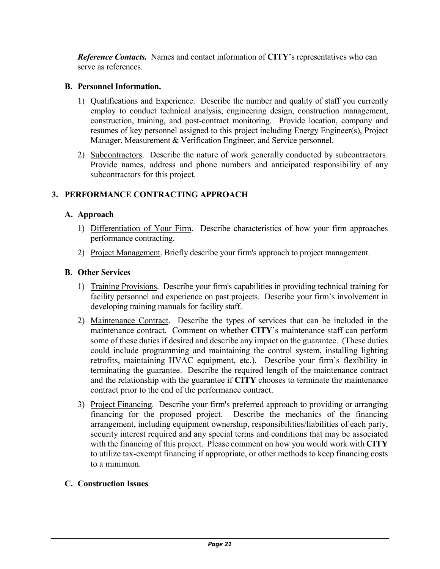*Reference Contacts.* Names and contact information of **CITY**'s representatives who can serve as references.

#### **B. Personnel Information.**

- 1) Qualifications and Experience. Describe the number and quality of staff you currently employ to conduct technical analysis, engineering design, construction management, construction, training, and post-contract monitoring. Provide location, company and resumes of key personnel assigned to this project including Energy Engineer(s), Project Manager, Measurement & Verification Engineer, and Service personnel.
- 2) Subcontractors. Describe the nature of work generally conducted by subcontractors. Provide names, address and phone numbers and anticipated responsibility of any subcontractors for this project.

### **3. PERFORMANCE CONTRACTING APPROACH**

#### **A. Approach**

- 1) Differentiation of Your Firm. Describe characteristics of how your firm approaches performance contracting.
- 2) Project Management. Briefly describe your firm's approach to project management.

#### **B. Other Services**

- 1) Training Provisions. Describe your firm's capabilities in providing technical training for facility personnel and experience on past projects. Describe your firm's involvement in developing training manuals for facility staff.
- 2) Maintenance Contract.Describe the types of services that can be included in the maintenance contract. Comment on whether **CITY**'s maintenance staff can perform some of these duties if desired and describe any impact on the guarantee. (These duties could include programming and maintaining the control system, installing lighting retrofits, maintaining HVAC equipment, etc.). Describe your firm's flexibility in terminating the guarantee. Describe the required length of the maintenance contract and the relationship with the guarantee if **CITY** chooses to terminate the maintenance contract prior to the end of the performance contract.
- 3) Project Financing. Describe your firm's preferred approach to providing or arranging financing for the proposed project. Describe the mechanics of the financing arrangement, including equipment ownership, responsibilities/liabilities of each party, security interest required and any special terms and conditions that may be associated with the financing of this project. Please comment on how you would work with **CITY** to utilize tax-exempt financing if appropriate, or other methods to keep financing costs to a minimum.

#### **C. Construction Issues**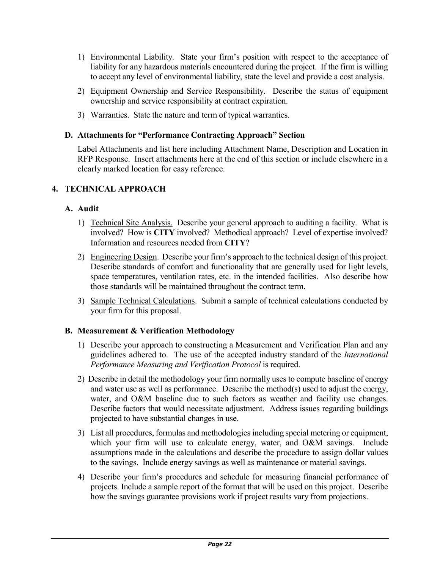- 1) Environmental Liability. State your firm's position with respect to the acceptance of liability for any hazardous materials encountered during the project. If the firm is willing to accept any level of environmental liability, state the level and provide a cost analysis.
- 2) Equipment Ownership and Service Responsibility. Describe the status of equipment ownership and service responsibility at contract expiration.
- 3) Warranties. State the nature and term of typical warranties.

#### **D. Attachments for "Performance Contracting Approach" Section**

Label Attachments and list here including Attachment Name, Description and Location in RFP Response. Insert attachments here at the end of this section or include elsewhere in a clearly marked location for easy reference.

### **4. TECHNICAL APPROACH**

#### **A. Audit**

- 1) Technical Site Analysis. Describe your general approach to auditing a facility. What is involved? How is **CITY** involved? Methodical approach? Level of expertise involved? Information and resources needed from **CITY**?
- 2) Engineering Design. Describe your firm's approach to the technical design of this project. Describe standards of comfort and functionality that are generally used for light levels, space temperatures, ventilation rates, etc. in the intended facilities. Also describe how those standards will be maintained throughout the contract term.
- 3) Sample Technical Calculations. Submit a sample of technical calculations conducted by your firm for this proposal.

#### **B. Measurement & Verification Methodology**

- 1) Describe your approach to constructing a Measurement and Verification Plan and any guidelines adhered to. The use of the accepted industry standard of the *International Performance Measuring and Verification Protocol* is required.
- 2) Describe in detail the methodology your firm normally uses to compute baseline of energy and water use as well as performance. Describe the method(s) used to adjust the energy, water, and O&M baseline due to such factors as weather and facility use changes. Describe factors that would necessitate adjustment. Address issues regarding buildings projected to have substantial changes in use.
- 3) List all procedures, formulas and methodologies including special metering or equipment, which your firm will use to calculate energy, water, and O&M savings. Include assumptions made in the calculations and describe the procedure to assign dollar values to the savings. Include energy savings as well as maintenance or material savings.
- 4) Describe your firm's procedures and schedule for measuring financial performance of projects. Include a sample report of the format that will be used on this project. Describe how the savings guarantee provisions work if project results vary from projections.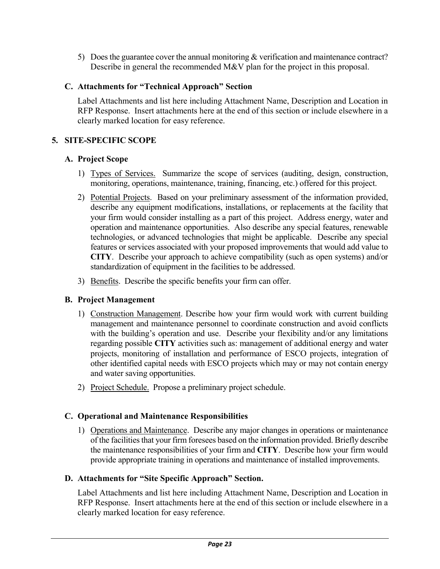5) Does the guarantee cover the annual monitoring & verification and maintenance contract? Describe in general the recommended M&V plan for the project in this proposal.

#### **C. Attachments for "Technical Approach" Section**

Label Attachments and list here including Attachment Name, Description and Location in RFP Response. Insert attachments here at the end of this section or include elsewhere in a clearly marked location for easy reference.

#### **5. SITE-SPECIFIC SCOPE**

#### **A. Project Scope**

- 1) Types of Services. Summarize the scope of services (auditing, design, construction, monitoring, operations, maintenance, training, financing, etc.) offered for this project.
- 2) Potential Projects. Based on your preliminary assessment of the information provided, describe any equipment modifications, installations, or replacements at the facility that your firm would consider installing as a part of this project. Address energy, water and operation and maintenance opportunities. Also describe any special features, renewable technologies, or advanced technologies that might be applicable. Describe any special features or services associated with your proposed improvements that would add value to **CITY**. Describe your approach to achieve compatibility (such as open systems) and/or standardization of equipment in the facilities to be addressed.
- 3) Benefits. Describe the specific benefits your firm can offer.

#### **B. Project Management**

- 1) Construction Management. Describe how your firm would work with current building management and maintenance personnel to coordinate construction and avoid conflicts with the building's operation and use. Describe your flexibility and/or any limitations regarding possible **CITY** activities such as: management of additional energy and water projects, monitoring of installation and performance of ESCO projects, integration of other identified capital needs with ESCO projects which may or may not contain energy and water saving opportunities.
- 2) Project Schedule. Propose a preliminary project schedule.

#### **C. Operational and Maintenance Responsibilities**

1) Operations and Maintenance. Describe any major changes in operations or maintenance of the facilities that your firm foresees based on the information provided. Briefly describe the maintenance responsibilities of your firm and **CITY**. Describe how your firm would provide appropriate training in operations and maintenance of installed improvements.

#### **D. Attachments for "Site Specific Approach" Section.**

Label Attachments and list here including Attachment Name, Description and Location in RFP Response. Insert attachments here at the end of this section or include elsewhere in a clearly marked location for easy reference.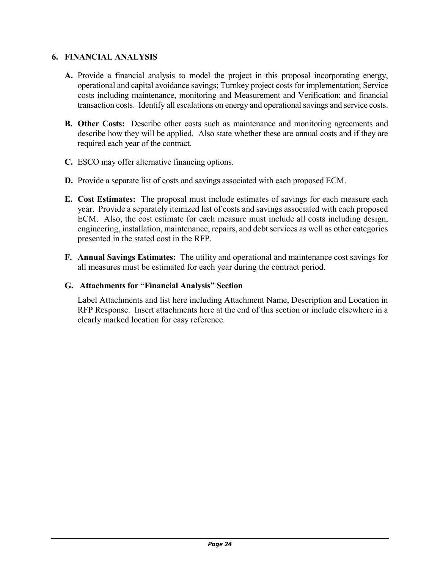### **6. FINANCIAL ANALYSIS**

- **A.** Provide a financial analysis to model the project in this proposal incorporating energy, operational and capital avoidance savings; Turnkey project costs for implementation; Service costs including maintenance, monitoring and Measurement and Verification; and financial transaction costs. Identify all escalations on energy and operational savings and service costs.
- **B. Other Costs:** Describe other costs such as maintenance and monitoring agreements and describe how they will be applied. Also state whether these are annual costs and if they are required each year of the contract.
- **C.** ESCO may offer alternative financing options.
- **D.** Provide a separate list of costs and savings associated with each proposed ECM.
- **E. Cost Estimates:** The proposal must include estimates of savings for each measure each year. Provide a separately itemized list of costs and savings associated with each proposed ECM. Also, the cost estimate for each measure must include all costs including design, engineering, installation, maintenance, repairs, and debt services as well as other categories presented in the stated cost in the RFP.
- **F. Annual Savings Estimates:** The utility and operational and maintenance cost savings for all measures must be estimated for each year during the contract period.

#### **G. Attachments for "Financial Analysis" Section**

Label Attachments and list here including Attachment Name, Description and Location in RFP Response. Insert attachments here at the end of this section or include elsewhere in a clearly marked location for easy reference.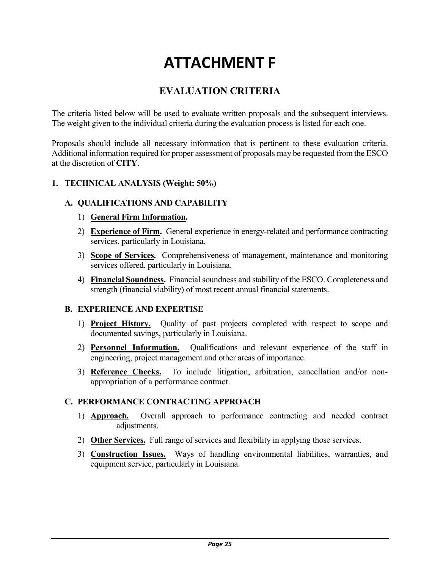# **ATTACHMENT F**

## **EVALUATION CRITERIA**

The criteria listed below will be used to evaluate written proposals and the subsequent interviews. The weight given to the individual criteria during the evaluation process is listed for each one.

Proposals should include all necessary information that is pertinent to these evaluation criteria. Additional information required for proper assessment of proposals may be requested from the ESCO at the discretion of **CITY**.

#### **1. TECHNICAL ANALYSIS (Weight: 50%)**

#### **A. QUALIFICATIONS AND CAPABILITY**

- 1) **General Firm Information.**
- 2) **Experience of Firm.** General experience in energy-related and performance contracting services, particularly in Louisiana.
- 3) **Scope of Services.** Comprehensiveness of management, maintenance and monitoring services offered, particularly in Louisiana.
- 4) **Financial Soundness.** Financial soundness and stability of the ESCO. Completeness and strength (financial viability) of most recent annual financial statements.

#### **B. EXPERIENCE AND EXPERTISE**

- 1) **Project History.** Quality of past projects completed with respect to scope and documented savings, particularly in Louisiana.
- 2) **Personnel Information.** Qualifications and relevant experience of the staff in engineering, project management and other areas of importance.
- 3) **Reference Checks.** To include litigation, arbitration, cancellation and/or nonappropriation of a performance contract.

#### **C. PERFORMANCE CONTRACTING APPROACH**

- 1) **Approach.** Overall approach to performance contracting and needed contract adjustments.
- 2) **Other Services.** Full range of services and flexibility in applying those services.
- 3) **Construction Issues.** Ways of handling environmental liabilities, warranties, and equipment service, particularly in Louisiana.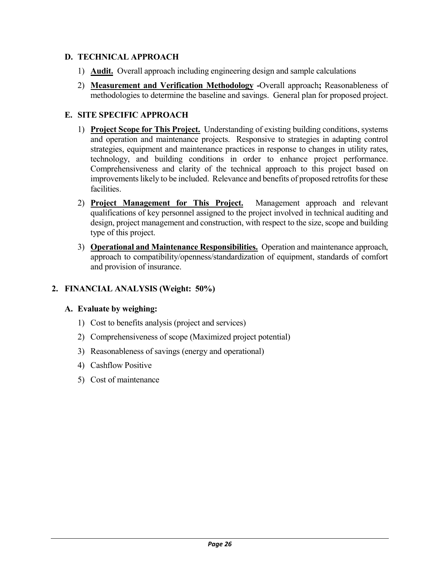### **D. TECHNICAL APPROACH**

- 1) **Audit.** Overall approach including engineering design and sample calculations
- 2) **Measurement and Verification Methodology -**Overall approach**;** Reasonableness of methodologies to determine the baseline and savings. General plan for proposed project.

### **E. SITE SPECIFIC APPROACH**

- 1) **Project Scope for This Project.** Understanding of existing building conditions, systems and operation and maintenance projects. Responsive to strategies in adapting control strategies, equipment and maintenance practices in response to changes in utility rates, technology, and building conditions in order to enhance project performance. Comprehensiveness and clarity of the technical approach to this project based on improvements likely to be included. Relevance and benefits of proposed retrofits for these facilities.
- 2) **Project Management for This Project.** Management approach and relevant qualifications of key personnel assigned to the project involved in technical auditing and design, project management and construction, with respect to the size, scope and building type of this project.
- 3) **Operational and Maintenance Responsibilities.** Operation and maintenance approach, approach to compatibility/openness/standardization of equipment, standards of comfort and provision of insurance.

### **2. FINANCIAL ANALYSIS (Weight: 50%)**

#### **A. Evaluate by weighing:**

- 1) Cost to benefits analysis (project and services)
- 2) Comprehensiveness of scope (Maximized project potential)
- 3) Reasonableness of savings (energy and operational)
- 4) Cashflow Positive
- 5) Cost of maintenance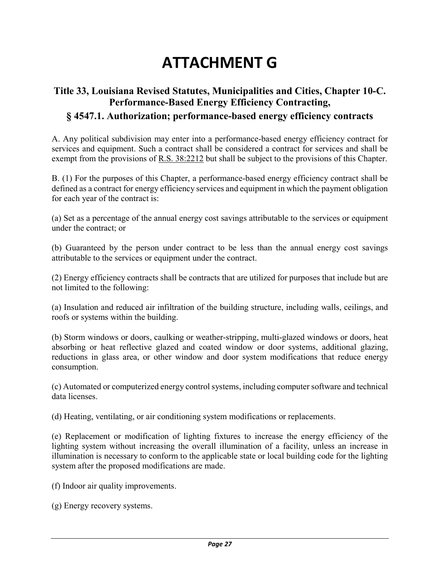# **ATTACHMENT G**

# **Title 33, Louisiana Revised Statutes, Municipalities and Cities, Chapter 10-C. Performance-Based Energy Efficiency Contracting,**

# **§ 4547.1. Authorization; performance-based energy efficiency contracts**

A. Any political subdivision may enter into a performance-based energy efficiency contract for services and equipment. Such a contract shall be considered a contract for services and shall be exempt from the provisions of R.S. 38:2212 but shall be subject to the provisions of this Chapter.

B. (1) For the purposes of this Chapter, a performance-based energy efficiency contract shall be defined as a contract for energy efficiency services and equipment in which the payment obligation for each year of the contract is:

(a) Set as a percentage of the annual energy cost savings attributable to the services or equipment under the contract; or

(b) Guaranteed by the person under contract to be less than the annual energy cost savings attributable to the services or equipment under the contract.

(2) Energy efficiency contracts shall be contracts that are utilized for purposes that include but are not limited to the following:

(a) Insulation and reduced air infiltration of the building structure, including walls, ceilings, and roofs or systems within the building.

(b) Storm windows or doors, caulking or weather-stripping, multi-glazed windows or doors, heat absorbing or heat reflective glazed and coated window or door systems, additional glazing, reductions in glass area, or other window and door system modifications that reduce energy consumption.

(c) Automated or computerized energy control systems, including computer software and technical data licenses.

(d) Heating, ventilating, or air conditioning system modifications or replacements.

(e) Replacement or modification of lighting fixtures to increase the energy efficiency of the lighting system without increasing the overall illumination of a facility, unless an increase in illumination is necessary to conform to the applicable state or local building code for the lighting system after the proposed modifications are made.

(f) Indoor air quality improvements.

(g) Energy recovery systems.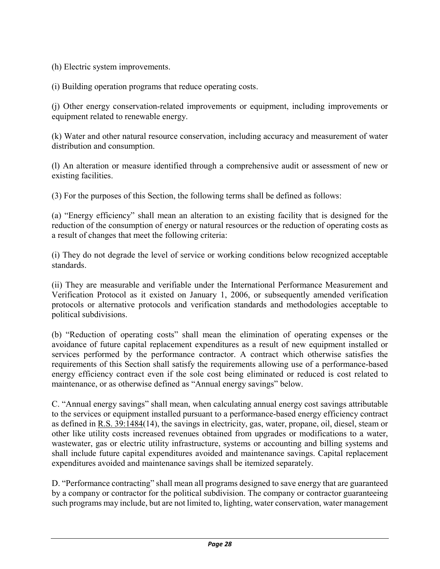(h) Electric system improvements.

(i) Building operation programs that reduce operating costs.

(j) Other energy conservation-related improvements or equipment, including improvements or equipment related to renewable energy.

(k) Water and other natural resource conservation, including accuracy and measurement of water distribution and consumption.

(l) An alteration or measure identified through a comprehensive audit or assessment of new or existing facilities.

(3) For the purposes of this Section, the following terms shall be defined as follows:

(a) "Energy efficiency" shall mean an alteration to an existing facility that is designed for the reduction of the consumption of energy or natural resources or the reduction of operating costs as a result of changes that meet the following criteria:

(i) They do not degrade the level of service or working conditions below recognized acceptable standards.

(ii) They are measurable and verifiable under the International Performance Measurement and Verification Protocol as it existed on January 1, 2006, or subsequently amended verification protocols or alternative protocols and verification standards and methodologies acceptable to political subdivisions.

(b) "Reduction of operating costs" shall mean the elimination of operating expenses or the avoidance of future capital replacement expenditures as a result of new equipment installed or services performed by the performance contractor. A contract which otherwise satisfies the requirements of this Section shall satisfy the requirements allowing use of a performance-based energy efficiency contract even if the sole cost being eliminated or reduced is cost related to maintenance, or as otherwise defined as "Annual energy savings" below.

C. "Annual energy savings" shall mean, when calculating annual energy cost savings attributable to the services or equipment installed pursuant to a performance-based energy efficiency contract as defined in R.S. 39:1484(14), the savings in electricity, gas, water, propane, oil, diesel, steam or other like utility costs increased revenues obtained from upgrades or modifications to a water, wastewater, gas or electric utility infrastructure, systems or accounting and billing systems and shall include future capital expenditures avoided and maintenance savings. Capital replacement expenditures avoided and maintenance savings shall be itemized separately.

D. "Performance contracting" shall mean all programs designed to save energy that are guaranteed by a company or contractor for the political subdivision. The company or contractor guaranteeing such programs may include, but are not limited to, lighting, water conservation, water management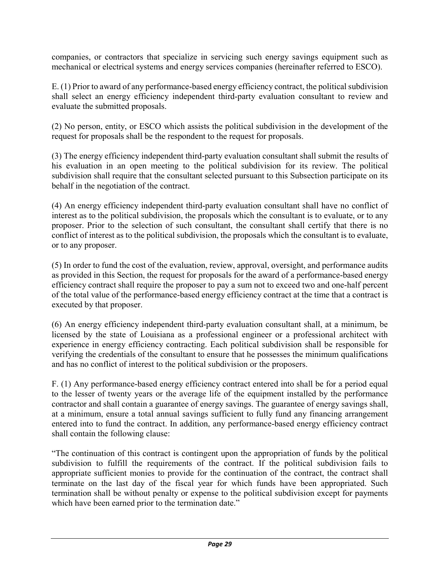companies, or contractors that specialize in servicing such energy savings equipment such as mechanical or electrical systems and energy services companies (hereinafter referred to ESCO).

E. (1) Prior to award of any performance-based energy efficiency contract, the political subdivision shall select an energy efficiency independent third-party evaluation consultant to review and evaluate the submitted proposals.

(2) No person, entity, or ESCO which assists the political subdivision in the development of the request for proposals shall be the respondent to the request for proposals.

(3) The energy efficiency independent third-party evaluation consultant shall submit the results of his evaluation in an open meeting to the political subdivision for its review. The political subdivision shall require that the consultant selected pursuant to this Subsection participate on its behalf in the negotiation of the contract.

(4) An energy efficiency independent third-party evaluation consultant shall have no conflict of interest as to the political subdivision, the proposals which the consultant is to evaluate, or to any proposer. Prior to the selection of such consultant, the consultant shall certify that there is no conflict of interest as to the political subdivision, the proposals which the consultant is to evaluate, or to any proposer.

(5) In order to fund the cost of the evaluation, review, approval, oversight, and performance audits as provided in this Section, the request for proposals for the award of a performance-based energy efficiency contract shall require the proposer to pay a sum not to exceed two and one-half percent of the total value of the performance-based energy efficiency contract at the time that a contract is executed by that proposer.

(6) An energy efficiency independent third-party evaluation consultant shall, at a minimum, be licensed by the state of Louisiana as a professional engineer or a professional architect with experience in energy efficiency contracting. Each political subdivision shall be responsible for verifying the credentials of the consultant to ensure that he possesses the minimum qualifications and has no conflict of interest to the political subdivision or the proposers.

F. (1) Any performance-based energy efficiency contract entered into shall be for a period equal to the lesser of twenty years or the average life of the equipment installed by the performance contractor and shall contain a guarantee of energy savings. The guarantee of energy savings shall, at a minimum, ensure a total annual savings sufficient to fully fund any financing arrangement entered into to fund the contract. In addition, any performance-based energy efficiency contract shall contain the following clause:

"The continuation of this contract is contingent upon the appropriation of funds by the political subdivision to fulfill the requirements of the contract. If the political subdivision fails to appropriate sufficient monies to provide for the continuation of the contract, the contract shall terminate on the last day of the fiscal year for which funds have been appropriated. Such termination shall be without penalty or expense to the political subdivision except for payments which have been earned prior to the termination date."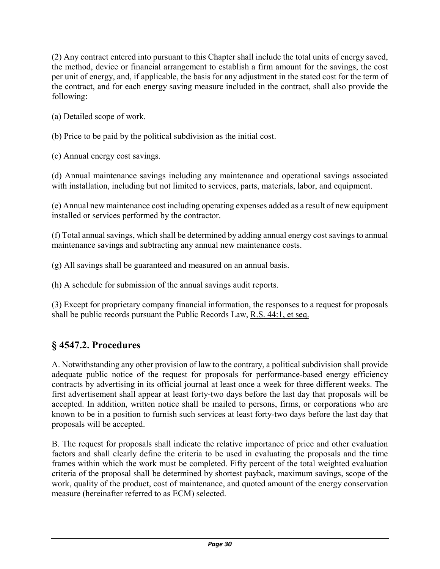(2) Any contract entered into pursuant to this Chapter shall include the total units of energy saved, the method, device or financial arrangement to establish a firm amount for the savings, the cost per unit of energy, and, if applicable, the basis for any adjustment in the stated cost for the term of the contract, and for each energy saving measure included in the contract, shall also provide the following:

(a) Detailed scope of work.

(b) Price to be paid by the political subdivision as the initial cost.

(c) Annual energy cost savings.

(d) Annual maintenance savings including any maintenance and operational savings associated with installation, including but not limited to services, parts, materials, labor, and equipment.

(e) Annual new maintenance cost including operating expenses added as a result of new equipment installed or services performed by the contractor.

(f) Total annual savings, which shall be determined by adding annual energy cost savings to annual maintenance savings and subtracting any annual new maintenance costs.

(g) All savings shall be guaranteed and measured on an annual basis.

(h) A schedule for submission of the annual savings audit reports.

(3) Except for proprietary company financial information, the responses to a request for proposals shall be public records pursuant the Public Records Law, R.S. 44:1, et seq.

# **§ 4547.2. Procedures**

A. Notwithstanding any other provision of law to the contrary, a political subdivision shall provide adequate public notice of the request for proposals for performance-based energy efficiency contracts by advertising in its official journal at least once a week for three different weeks. The first advertisement shall appear at least forty-two days before the last day that proposals will be accepted. In addition, written notice shall be mailed to persons, firms, or corporations who are known to be in a position to furnish such services at least forty-two days before the last day that proposals will be accepted.

B. The request for proposals shall indicate the relative importance of price and other evaluation factors and shall clearly define the criteria to be used in evaluating the proposals and the time frames within which the work must be completed. Fifty percent of the total weighted evaluation criteria of the proposal shall be determined by shortest payback, maximum savings, scope of the work, quality of the product, cost of maintenance, and quoted amount of the energy conservation measure (hereinafter referred to as ECM) selected.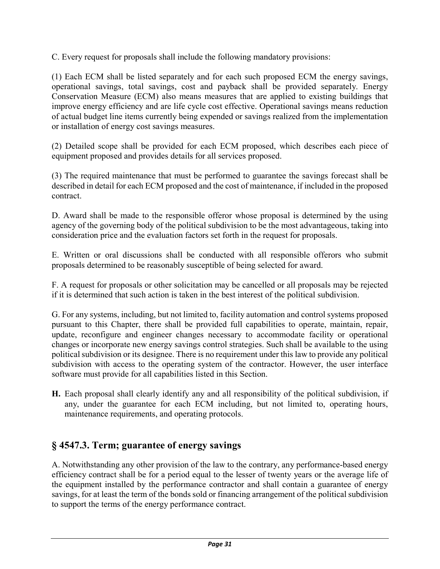C. Every request for proposals shall include the following mandatory provisions:

(1) Each ECM shall be listed separately and for each such proposed ECM the energy savings, operational savings, total savings, cost and payback shall be provided separately. Energy Conservation Measure (ECM) also means measures that are applied to existing buildings that improve energy efficiency and are life cycle cost effective. Operational savings means reduction of actual budget line items currently being expended or savings realized from the implementation or installation of energy cost savings measures.

(2) Detailed scope shall be provided for each ECM proposed, which describes each piece of equipment proposed and provides details for all services proposed.

(3) The required maintenance that must be performed to guarantee the savings forecast shall be described in detail for each ECM proposed and the cost of maintenance, if included in the proposed contract.

D. Award shall be made to the responsible offeror whose proposal is determined by the using agency of the governing body of the political subdivision to be the most advantageous, taking into consideration price and the evaluation factors set forth in the request for proposals.

E. Written or oral discussions shall be conducted with all responsible offerors who submit proposals determined to be reasonably susceptible of being selected for award.

F. A request for proposals or other solicitation may be cancelled or all proposals may be rejected if it is determined that such action is taken in the best interest of the political subdivision.

G. For any systems, including, but not limited to, facility automation and control systems proposed pursuant to this Chapter, there shall be provided full capabilities to operate, maintain, repair, update, reconfigure and engineer changes necessary to accommodate facility or operational changes or incorporate new energy savings control strategies. Such shall be available to the using political subdivision or its designee. There is no requirement under this law to provide any political subdivision with access to the operating system of the contractor. However, the user interface software must provide for all capabilities listed in this Section.

**H.** Each proposal shall clearly identify any and all responsibility of the political subdivision, if any, under the guarantee for each ECM including, but not limited to, operating hours, maintenance requirements, and operating protocols.

## **§ 4547.3. Term; guarantee of energy savings**

A. Notwithstanding any other provision of the law to the contrary, any performance-based energy efficiency contract shall be for a period equal to the lesser of twenty years or the average life of the equipment installed by the performance contractor and shall contain a guarantee of energy savings, for at least the term of the bonds sold or financing arrangement of the political subdivision to support the terms of the energy performance contract.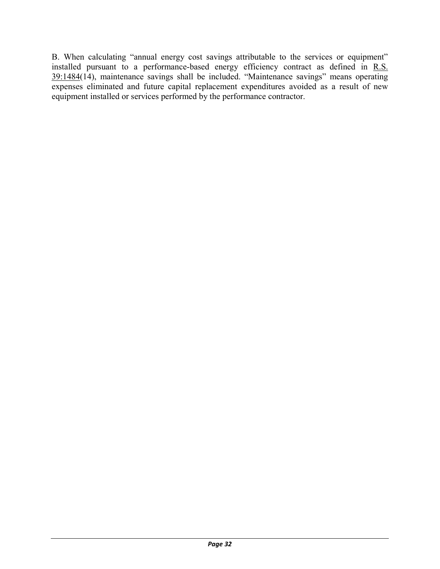B. When calculating "annual energy cost savings attributable to the services or equipment" installed pursuant to a performance-based energy efficiency contract as defined in R.S. 39:1484(14), maintenance savings shall be included. "Maintenance savings" means operating expenses eliminated and future capital replacement expenditures avoided as a result of new equipment installed or services performed by the performance contractor.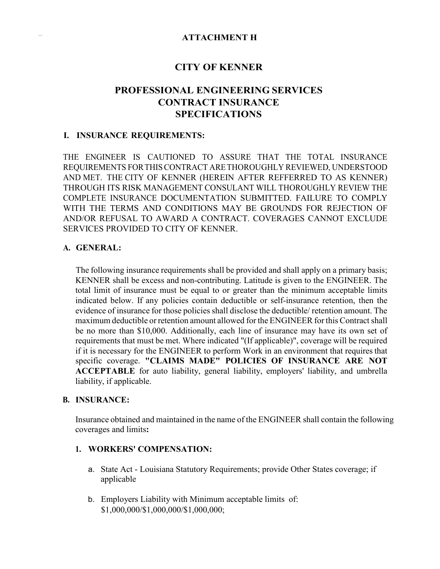### **CITY OF KENNER**

## **PROFESSIONAL ENGINEERING SERVICES CONTRACT INSURANCE SPECIFICATIONS**

#### **I. INSURANCE REQUIREMENTS:**

THE ENGINEER IS CAUTIONED TO ASSURE THAT THE TOTAL INSURANCE REQUIREMENTS FORTHISCONTRACT ARETHOROUGHLY REVIEWED, UNDERSTOOD AND MET. THE CITY OF KENNER (HEREIN AFTER REFFERRED TO AS KENNER) THROUGH ITS RISK MANAGEMENT CONSULANT WILL THOROUGHLY REVIEW THE COMPLETE INSURANCE DOCUMENTATION SUBMITTED. FAILURE TO COMPLY WITH THE TERMS AND CONDITIONS MAY BE GROUNDS FOR REJECTION OF AND/OR REFUSAL TO AWARD A CONTRACT. COVERAGES CANNOT EXCLUDE SERVICES PROVIDED TO CITY OF KENNER.

#### **A. GENERAL:**

The following insurance requirements shall be provided and shall apply on a primary basis; KENNER shall be excess and non-contributing. Latitude is given to the ENGINEER. The total limit of insurance must be equal to or greater than the minimum acceptable limits indicated below. If any policies contain deductible or self-insurance retention, then the evidence of insurance for those policies shall disclose the deductible/ retention amount. The maximum deductible or retention amount allowed for the ENGINEER for this Contract shall be no more than \$10,000. Additionally, each line of insurance may have its own set of requirements that must be met. Where indicated "(If applicable)", coverage will be required if it is necessary for the ENGINEER to perform Work in an environment that requires that specific coverage. **"CLAIMS MADE" POLICIES OF INSURANCE ARE NOT ACCEPTABLE** for auto liability, general liability, employers' liability, and umbrella liability, if applicable.

#### **B. INSURANCE:**

Insurance obtained and maintained in the name of the ENGINEER shall contain the following coverages and limits**:**

#### **1. WORKERS' COMPENSATION:**

- a. State Act Louisiana Statutory Requirements; provide Other States coverage; if applicable
- b. Employers Liability with Minimum acceptable limits of: \$1,000,000/\$1,000,000/\$1,000,000;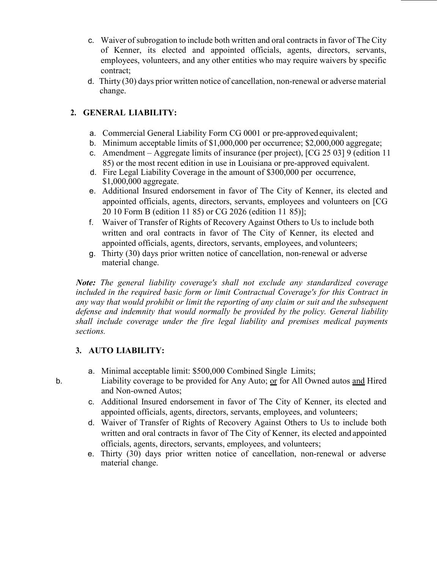- c. Waiver of subrogation to include both written and oral contractsin favor of The City of Kenner, its elected and appointed officials, agents, directors, servants, employees, volunteers, and any other entities who may require waivers by specific contract;
- d. Thirty (30) days prior written notice of cancellation, non-renewal or adverse material change.

## **2. GENERAL LIABILITY:**

- a. Commercial General Liability Form CG 0001 or pre-approved equivalent;
- b. Minimum acceptable limits of \$1,000,000 per occurrence; \$2,000,000 aggregate;
- c. Amendment Aggregate limits of insurance (per project), [CG 25 03] 9 (edition 11 85) or the most recent edition in use in Louisiana or pre-approved equivalent.
- d. Fire Legal Liability Coverage in the amount of \$300,000 per occurrence, \$1,000,000 aggregate.
- e. Additional Insured endorsement in favor of The City of Kenner, its elected and appointed officials, agents, directors, servants, employees and volunteers on [CG 20 10 Form B (edition 11 85) or CG 2026 (edition 11 85)];
- f. Waiver of Transfer of Rights of Recovery Against Others to Us to include both written and oral contracts in favor of The City of Kenner, its elected and appointed officials, agents, directors, servants, employees, and volunteers;
- g. Thirty (30) days prior written notice of cancellation, non-renewal or adverse material change.

*Note: The general liability coverage's shall not exclude any standardized coverage included in the required basic form or limit Contractual Coverage's for this Contract in any way that would prohibit or limit the reporting of any claim or suit and the subsequent defense and indemnity that would normally be provided by the policy. General liability shall include coverage under the fire legal liability and premises medical payments sections.*

## **3. AUTO LIABILITY:**

- a. Minimal acceptable limit: \$500,000 Combined Single Limits;
- b. Liability coverage to be provided for Any Auto; or for All Owned autos and Hired and Non-owned Autos;
	- c. Additional Insured endorsement in favor of The City of Kenner, its elected and appointed officials, agents, directors, servants, employees, and volunteers;
	- d. Waiver of Transfer of Rights of Recovery Against Others to Us to include both written and oral contracts in favor of The City of Kenner, its elected and appointed officials, agents, directors, servants, employees, and volunteers;
	- e. Thirty (30) days prior written notice of cancellation, non-renewal or adverse material change.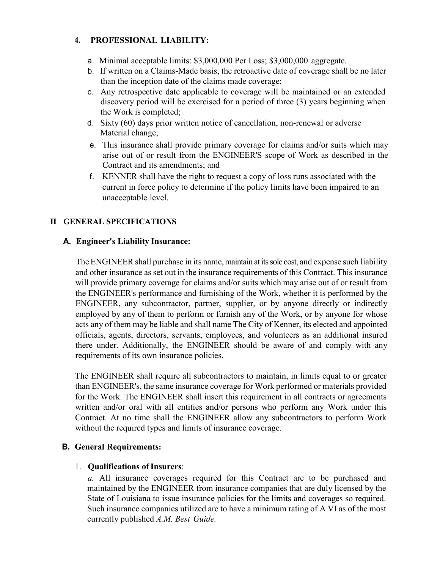#### **4. PROFESSIONAL LIABILITY:**

- a. Minimal acceptable limits: \$3,000,000 Per Loss; \$3,000,000 aggregate.
- b. If written on a Claims-Made basis, the retroactive date of coverage shall be no later than the inception date of the claims made coverage;
- c. Any retrospective date applicable to coverage will be maintained or an extended discovery period will be exercised for a period of three (3) years beginning when the Work is completed;
- d. Sixty (60) days prior written notice of cancellation, non-renewal or adverse Material change;
- e. This insurance shall provide primary coverage for claims and/or suits which may arise out of or result from the ENGINEER'S scope of Work as described in the Contract and its amendments; and
- f. KENNER shall have the right to request a copy of loss runs associated with the current in force policy to determine if the policy limits have been impaired to an unacceptable level.

### **II GENERAL SPECIFICATIONS**

#### **A. Engineer's Liability Insurance:**

The ENGINEER shall purchase in its name, maintain at its sole cost, and expense such liability and other insurance as set out in the insurance requirements of this Contract. This insurance will provide primary coverage for claims and/or suits which may arise out of or result from the ENGINEER's performance and furnishing of the Work, whether it is performed by the ENGINEER, any subcontractor, partner, supplier, or by anyone directly or indirectly employed by any of them to perform or furnish any of the Work, or by anyone for whose acts any of them may be liable and shall name The City of Kenner, its elected and appointed officials, agents, directors, servants, employees, and volunteers as an additional insured there under. Additionally, the ENGINEER should be aware of and comply with any requirements of its own insurance policies.

The ENGINEER shall require all subcontractors to maintain, in limits equal to or greater than ENGINEER's, the same insurance coverage for Work performed or materials provided for the Work. The ENGINEER shall insert this requirement in all contracts or agreements written and/or oral with all entities and/or persons who perform any Work under this Contract. At no time shall the ENGINEER allow any subcontractors to perform Work without the required types and limits of insurance coverage.

#### **B. General Requirements:**

#### 1. **Qualifications ofInsurers**:

*a.* All insurance coverages required for this Contract are to be purchased and maintained by the ENGINEER from insurance companies that are duly licensed by the State of Louisiana to issue insurance policies for the limits and coverages so required. Such insurance companies utilized are to have a minimum rating of A VI as of the most currently published *A.M. Best Guide.*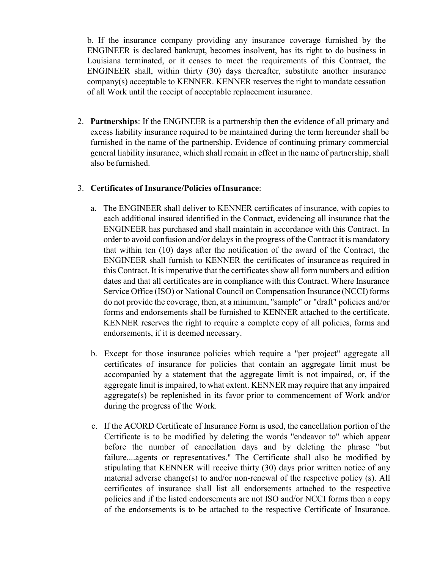b. If the insurance company providing any insurance coverage furnished by the ENGINEER is declared bankrupt, becomes insolvent, has its right to do business in Louisiana terminated, or it ceases to meet the requirements of this Contract, the ENGINEER shall, within thirty (30) days thereafter, substitute another insurance company(s) acceptable to KENNER. KENNER reserves the right to mandate cessation of all Work until the receipt of acceptable replacement insurance.

2. **Partnerships**: If the ENGINEER is a partnership then the evidence of all primary and excess liability insurance required to be maintained during the term hereunder shall be furnished in the name of the partnership. Evidence of continuing primary commercial general liability insurance, which shall remain in effect in the name of partnership, shall also be furnished.

#### 3. **Certificates of Insurance/Policies ofInsurance**:

- a. The ENGINEER shall deliver to KENNER certificates of insurance, with copies to each additional insured identified in the Contract, evidencing all insurance that the ENGINEER has purchased and shall maintain in accordance with this Contract. In order to avoid confusion and/or delays in the progress of the Contract it is mandatory that within ten (10) days after the notification of the award of the Contract, the ENGINEER shall furnish to KENNER the certificates of insurance as required in this Contract. It is imperative that the certificates show all form numbers and edition dates and that all certificates are in compliance with this Contract. Where Insurance Service Office (ISO) or National Council on Compensation Insurance (NCCI) forms do not provide the coverage, then, at a minimum, "sample" or "draft" policies and/or forms and endorsements shall be furnished to KENNER attached to the certificate. KENNER reserves the right to require a complete copy of all policies, forms and endorsements, if it is deemed necessary.
- b. Except for those insurance policies which require a "per project" aggregate all certificates of insurance for policies that contain an aggregate limit must be accompanied by a statement that the aggregate limit is not impaired, or, if the aggregate limit is impaired, to what extent. KENNER may require that any impaired aggregate(s) be replenished in its favor prior to commencement of Work and/or during the progress of the Work.
- c. If the ACORD Certificate of Insurance Form is used, the cancellation portion of the Certificate is to be modified by deleting the words "endeavor to" which appear before the number of cancellation days and by deleting the phrase "but failure....agents or representatives." The Certificate shall also be modified by stipulating that KENNER will receive thirty (30) days prior written notice of any material adverse change(s) to and/or non-renewal of the respective policy (s). All certificates of insurance shall list all endorsements attached to the respective policies and if the listed endorsements are not ISO and/or NCCI forms then a copy of the endorsements is to be attached to the respective Certificate of Insurance.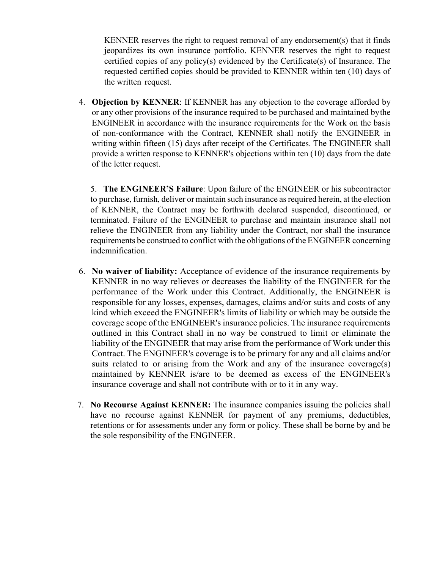KENNER reserves the right to request removal of any endorsement(s) that it finds jeopardizes its own insurance portfolio. KENNER reserves the right to request certified copies of any policy(s) evidenced by the Certificate(s) of Insurance. The requested certified copies should be provided to KENNER within ten (10) days of the written request.

4. **Objection by KENNER**: If KENNER has any objection to the coverage afforded by or any other provisions of the insurance required to be purchased and maintained by the ENGINEER in accordance with the insurance requirements for the Work on the basis of non-conformance with the Contract, KENNER shall notify the ENGINEER in writing within fifteen (15) days after receipt of the Certificates. The ENGINEER shall provide a written response to KENNER's objections within ten (10) days from the date of the letter request.

5. **The ENGINEER'S Failure**: Upon failure of the ENGINEER or his subcontractor to purchase, furnish, deliver or maintain such insurance asrequired herein, at the election of KENNER, the Contract may be forthwith declared suspended, discontinued, or terminated. Failure of the ENGINEER to purchase and maintain insurance shall not relieve the ENGINEER from any liability under the Contract, nor shall the insurance requirements be construed to conflict with the obligations of the ENGINEER concerning indemnification.

- 6. **No waiver of liability:** Acceptance of evidence of the insurance requirements by KENNER in no way relieves or decreases the liability of the ENGINEER for the performance of the Work under this Contract. Additionally, the ENGINEER is responsible for any losses, expenses, damages, claims and/or suits and costs of any kind which exceed the ENGINEER's limits of liability or which may be outside the coverage scope of the ENGINEER's insurance policies. The insurance requirements outlined in this Contract shall in no way be construed to limit or eliminate the liability of the ENGINEER that may arise from the performance of Work under this Contract. The ENGINEER's coverage is to be primary for any and all claims and/or suits related to or arising from the Work and any of the insurance coverage(s) maintained by KENNER is/are to be deemed as excess of the ENGINEER's insurance coverage and shall not contribute with or to it in any way.
- 7. **No Recourse Against KENNER:** The insurance companies issuing the policies shall have no recourse against KENNER for payment of any premiums, deductibles, retentions or for assessments under any form or policy. These shall be borne by and be the sole responsibility of the ENGINEER.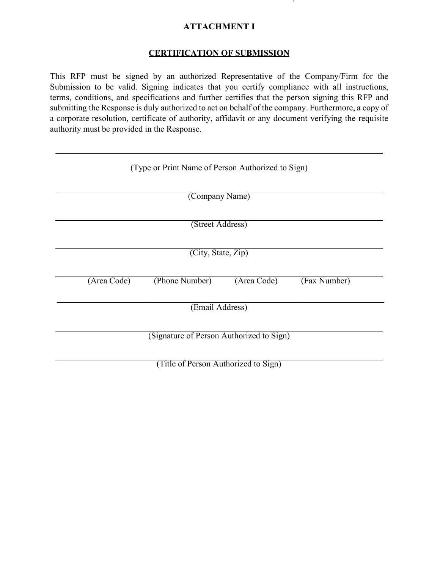### **ATTACHMENT I**

## **CERTIFICATION OF SUBMISSION**

This RFP must be signed by an authorized Representative of the Company/Firm for the Submission to be valid. Signing indicates that you certify compliance with all instructions, terms, conditions, and specifications and further certifies that the person signing this RFP and submitting the Response is duly authorized to act on behalf of the company. Furthermore, a copy of a corporate resolution, certificate of authority, affidavit or any document verifying the requisite authority must be provided in the Response.

|             | (Type or Print Name of Person Authorized to Sign) |             |              |
|-------------|---------------------------------------------------|-------------|--------------|
|             | (Company Name)                                    |             |              |
|             | (Street Address)                                  |             |              |
|             | (City, State, Zip)                                |             |              |
| (Area Code) | (Phone Number)                                    | (Area Code) | (Fax Number) |
|             | (Email Address)                                   |             |              |
|             | (Signature of Person Authorized to Sign)          |             |              |
|             | (Title of Person Authorized to Sign)              |             |              |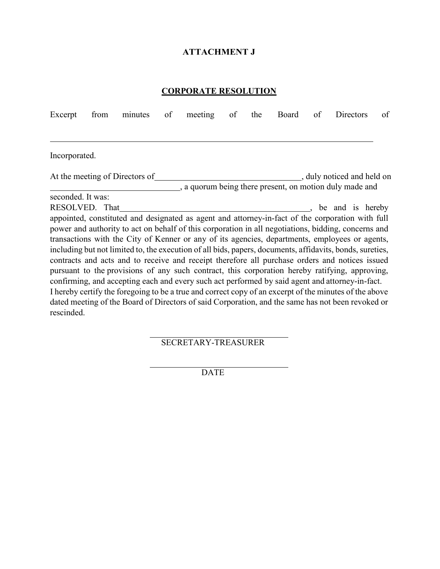### **ATTACHMENT J**

### **CORPORATE RESOLUTION**

| Excerpt                                           | from | minutes                        | of | meeting | of | the | Board | of | Directors                                                                                                                                                                                                                                                                                                                                                                                                                                                                                                                                                                                                                                                                                                                                                                                                                                                                                                                                                       | of |
|---------------------------------------------------|------|--------------------------------|----|---------|----|-----|-------|----|-----------------------------------------------------------------------------------------------------------------------------------------------------------------------------------------------------------------------------------------------------------------------------------------------------------------------------------------------------------------------------------------------------------------------------------------------------------------------------------------------------------------------------------------------------------------------------------------------------------------------------------------------------------------------------------------------------------------------------------------------------------------------------------------------------------------------------------------------------------------------------------------------------------------------------------------------------------------|----|
|                                                   |      |                                |    |         |    |     |       |    |                                                                                                                                                                                                                                                                                                                                                                                                                                                                                                                                                                                                                                                                                                                                                                                                                                                                                                                                                                 |    |
| Incorporated.                                     |      |                                |    |         |    |     |       |    |                                                                                                                                                                                                                                                                                                                                                                                                                                                                                                                                                                                                                                                                                                                                                                                                                                                                                                                                                                 |    |
|                                                   |      | At the meeting of Directors of |    |         |    |     |       |    | , duly noticed and held on<br>, a quorum being there present, on motion duly made and                                                                                                                                                                                                                                                                                                                                                                                                                                                                                                                                                                                                                                                                                                                                                                                                                                                                           |    |
| seconded. It was:<br>RESOLVED. That<br>rescinded. |      |                                |    |         |    |     |       |    | be and is hereby<br>appointed, constituted and designated as agent and attorney-in-fact of the corporation with full<br>power and authority to act on behalf of this corporation in all negotiations, bidding, concerns and<br>transactions with the City of Kenner or any of its agencies, departments, employees or agents,<br>including but not limited to, the execution of all bids, papers, documents, affidavits, bonds, sureties,<br>contracts and acts and to receive and receipt therefore all purchase orders and notices issued<br>pursuant to the provisions of any such contract, this corporation hereby ratifying, approving,<br>confirming, and accepting each and every such act performed by said agent and attorney-in-fact.<br>I hereby certify the foregoing to be a true and correct copy of an excerpt of the minutes of the above<br>dated meeting of the Board of Directors of said Corporation, and the same has not been revoked or |    |

SECRETARY-TREASURER

**DATE**